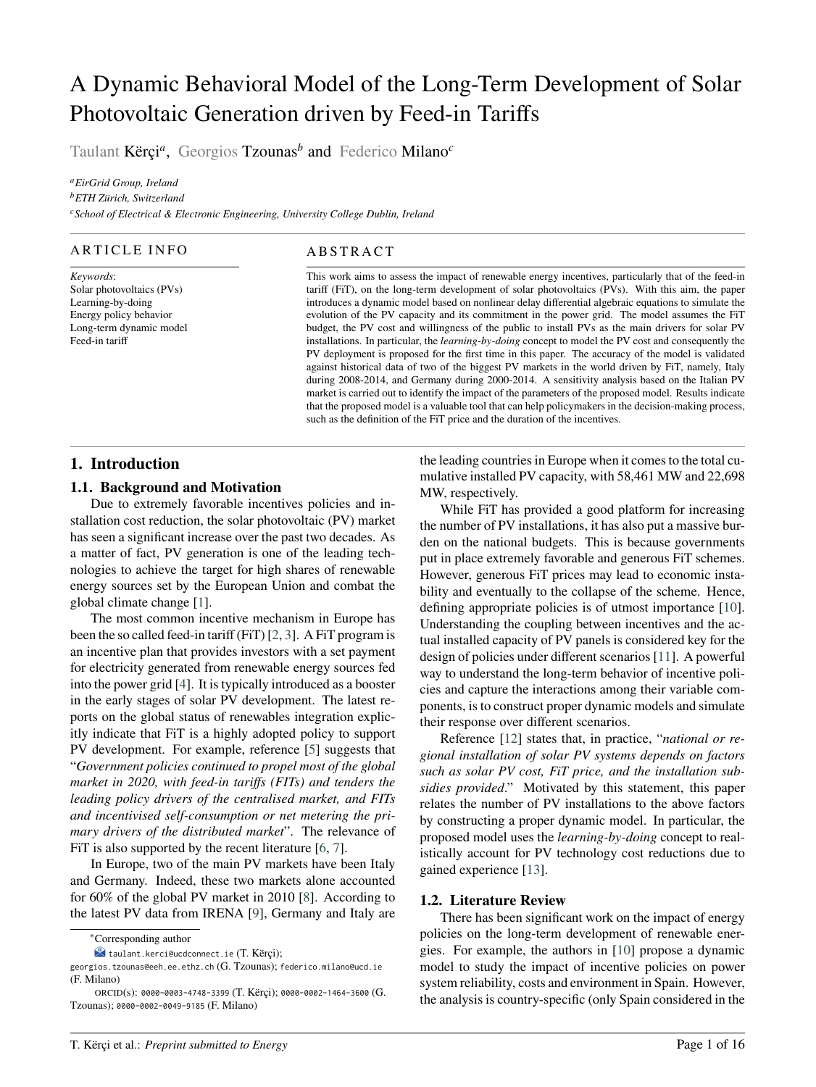# A Dynamic Behavioral Model of the Long-Term Development of Solar Photovoltaic Generation driven by Feed-in Tariffs

Taulant Kërçi*<sup>a</sup>* , Georgios Tzounas*<sup>b</sup>* and Federico Milano*<sup>c</sup>*

*<sup>a</sup>EirGrid Group, Ireland <sup>b</sup>ETH Zürich, Switzerland <sup>c</sup>School of Electrical & Electronic Engineering, University College Dublin, Ireland*

# ARTICLE INFO

*Keywords*: Solar photovoltaics (PVs) Learning-by-doing Energy policy behavior Long-term dynamic model Feed-in tariff

# A B S T R A C T

This work aims to assess the impact of renewable energy incentives, particularly that of the feed-in tariff (FiT), on the long-term development of solar photovoltaics (PVs). With this aim, the paper introduces a dynamic model based on nonlinear delay differential algebraic equations to simulate the evolution of the PV capacity and its commitment in the power grid. The model assumes the FiT budget, the PV cost and willingness of the public to install PVs as the main drivers for solar PV installations. In particular, the *learning-by-doing* concept to model the PV cost and consequently the PV deployment is proposed for the first time in this paper. The accuracy of the model is validated against historical data of two of the biggest PV markets in the world driven by FiT, namely, Italy during 2008-2014, and Germany during 2000-2014. A sensitivity analysis based on the Italian PV market is carried out to identify the impact of the parameters of the proposed model. Results indicate that the proposed model is a valuable tool that can help policymakers in the decision-making process, such as the definition of the FiT price and the duration of the incentives.

# **1. Introduction**

# **1.1. Background and Motivation**

Due to extremely favorable incentives policies and installation cost reduction, the solar photovoltaic (PV) market has seen a significant increase over the past two decades. As a matter of fact, PV generation is one of the leading technologies to achieve the target for high shares of renewable energy sources set by the European Union and combat the global climate change [\[1\]](#page-12-0).

The most common incentive mechanism in Europe has been the so called feed-in tariff (FiT) [\[2,](#page-12-1) [3\]](#page-13-0). A FiT program is an incentive plan that provides investors with a set payment for electricity generated from renewable energy sources fed into the power grid [\[4\]](#page-13-1). It is typically introduced as a booster in the early stages of solar PV development. The latest reports on the global status of renewables integration explicitly indicate that FiT is a highly adopted policy to support PV development. For example, reference [\[5\]](#page-14-0) suggests that "*Government policies continued to propel most of the global market in 2020, with feed-in tariffs (FITs) and tenders the leading policy drivers of the centralised market, and FITs and incentivised self-consumption or net metering the primary drivers of the distributed market*". The relevance of FiT is also supported by the recent literature [\[6,](#page-14-1) [7\]](#page-14-2).

In Europe, two of the main PV markets have been Italy and Germany. Indeed, these two markets alone accounted for 60% of the global PV market in 2010 [\[8\]](#page-14-3). According to the latest PV data from IRENA [\[9\]](#page-14-4), Germany and Italy are

the leading countries in Europe when it comes to the total cumulative installed PV capacity, with 58,461 MW and 22,698 MW, respectively.

While FiT has provided a good platform for increasing the number of PV installations, it has also put a massive burden on the national budgets. This is because governments put in place extremely favorable and generous FiT schemes. However, generous FiT prices may lead to economic instability and eventually to the collapse of the scheme. Hence, defining appropriate policies is of utmost importance [\[10\]](#page-14-5). Understanding the coupling between incentives and the actual installed capacity of PV panels is considered key for the design of policies under different scenarios [\[11\]](#page-14-6). A powerful way to understand the long-term behavior of incentive policies and capture the interactions among their variable components, is to construct proper dynamic models and simulate their response over different scenarios.

Reference [\[12\]](#page-14-7) states that, in practice, "*national or regional installation of solar PV systems depends on factors such as solar PV cost, FiT price, and the installation subsidies provided*." Motivated by this statement, this paper relates the number of PV installations to the above factors by constructing a proper dynamic model. In particular, the proposed model uses the *learning-by-doing* concept to realistically account for PV technology cost reductions due to gained experience [\[13\]](#page-14-8).

# **1.2. Literature Review**

There has been significant work on the impact of energy policies on the long-term development of renewable energies. For example, the authors in [\[10\]](#page-14-5) propose a dynamic model to study the impact of incentive policies on power system reliability, costs and environment in Spain. However, the analysis is country-specific (only Spain considered in the

<sup>∗</sup>Corresponding author

taulant.kerci@ucdconnect.ie (T. Kërçi);

georgios.tzounas@eeh.ee.ethz.ch (G. Tzounas); federico.milano@ucd.ie (F. Milano)

ORCID(s): 0000-0003-4748-3399 (T. Kërçi); 0000-0002-1464-3600 (G. Tzounas); 0000-0002-0049-9185 (F. Milano)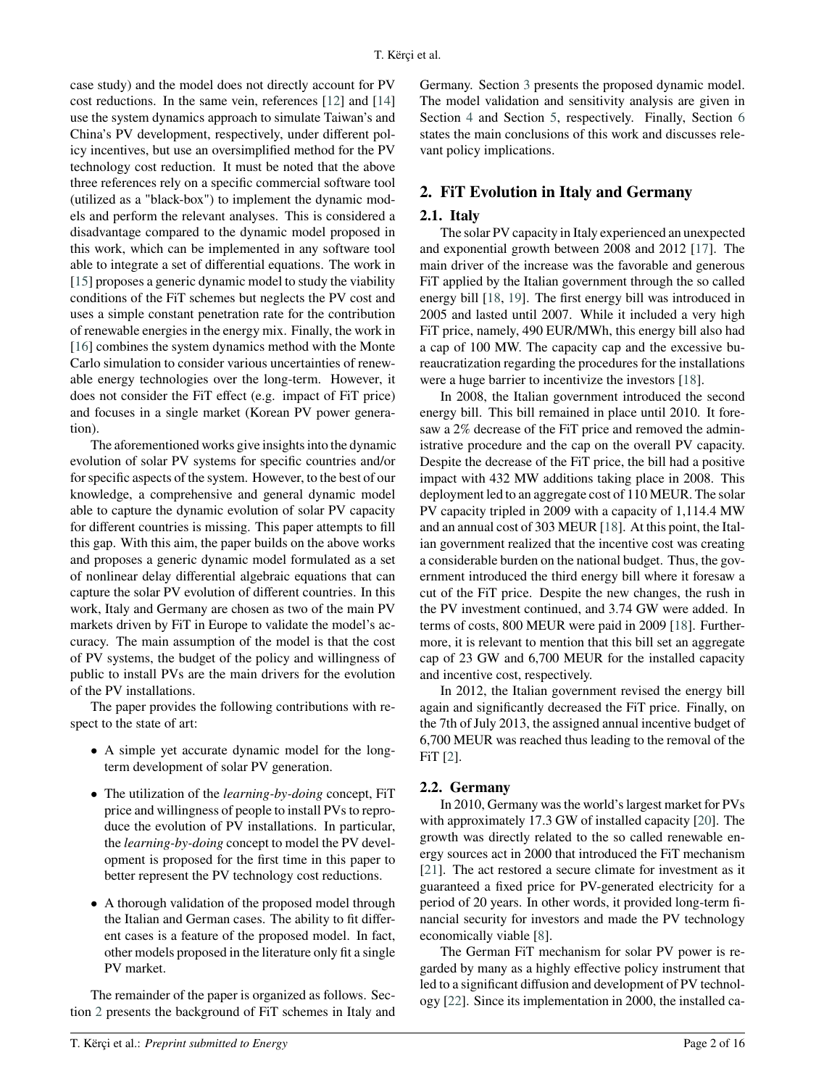case study) and the model does not directly account for PV cost reductions. In the same vein, references [\[12\]](#page-14-7) and [\[14\]](#page-14-9) use the system dynamics approach to simulate Taiwan's and China's PV development, respectively, under different policy incentives, but use an oversimplified method for the PV technology cost reduction. It must be noted that the above three references rely on a specific commercial software tool (utilized as a "black-box") to implement the dynamic models and perform the relevant analyses. This is considered a disadvantage compared to the dynamic model proposed in this work, which can be implemented in any software tool able to integrate a set of differential equations. The work in [\[15\]](#page-14-10) proposes a generic dynamic model to study the viability conditions of the FiT schemes but neglects the PV cost and uses a simple constant penetration rate for the contribution of renewable energies in the energy mix. Finally, the work in [\[16\]](#page-14-11) combines the system dynamics method with the Monte Carlo simulation to consider various uncertainties of renewable energy technologies over the long-term. However, it does not consider the FiT effect (e.g. impact of FiT price) and focuses in a single market (Korean PV power generation).

The aforementioned works give insights into the dynamic evolution of solar PV systems for specific countries and/or for specific aspects of the system. However, to the best of our knowledge, a comprehensive and general dynamic model able to capture the dynamic evolution of solar PV capacity for different countries is missing. This paper attempts to fill this gap. With this aim, the paper builds on the above works and proposes a generic dynamic model formulated as a set of nonlinear delay differential algebraic equations that can capture the solar PV evolution of different countries. In this work, Italy and Germany are chosen as two of the main PV markets driven by FiT in Europe to validate the model's accuracy. The main assumption of the model is that the cost of PV systems, the budget of the policy and willingness of public to install PVs are the main drivers for the evolution of the PV installations.

The paper provides the following contributions with respect to the state of art:

- A simple yet accurate dynamic model for the longterm development of solar PV generation.
- The utilization of the *learning-by-doing* concept, FiT price and willingness of people to install PVs to reproduce the evolution of PV installations. In particular, the *learning-by-doing* concept to model the PV development is proposed for the first time in this paper to better represent the PV technology cost reductions.
- A thorough validation of the proposed model through the Italian and German cases. The ability to fit different cases is a feature of the proposed model. In fact, other models proposed in the literature only fit a single PV market.

The remainder of the paper is organized as follows. Section [2](#page-1-0) presents the background of FiT schemes in Italy and Germany. Section [3](#page-2-0) presents the proposed dynamic model. The model validation and sensitivity analysis are given in Section [4](#page-3-0) and Section [5,](#page-6-0) respectively. Finally, Section [6](#page-10-0) states the main conclusions of this work and discusses relevant policy implications.

# <span id="page-1-0"></span>**2. FiT Evolution in Italy and Germany**

# **2.1. Italy**

The solar PV capacity in Italy experienced an unexpected and exponential growth between 2008 and 2012 [\[17\]](#page-14-12). The main driver of the increase was the favorable and generous FiT applied by the Italian government through the so called energy bill [\[18,](#page-14-13) [19\]](#page-14-14). The first energy bill was introduced in 2005 and lasted until 2007. While it included a very high FiT price, namely, 490 EUR/MWh, this energy bill also had a cap of 100 MW. The capacity cap and the excessive bureaucratization regarding the procedures for the installations were a huge barrier to incentivize the investors [\[18\]](#page-14-13).

In 2008, the Italian government introduced the second energy bill. This bill remained in place until 2010. It foresaw a 2% decrease of the FiT price and removed the administrative procedure and the cap on the overall PV capacity. Despite the decrease of the FiT price, the bill had a positive impact with 432 MW additions taking place in 2008. This deployment led to an aggregate cost of 110 MEUR. The solar PV capacity tripled in 2009 with a capacity of 1,114.4 MW and an annual cost of 303 MEUR [\[18\]](#page-14-13). At this point, the Italian government realized that the incentive cost was creating a considerable burden on the national budget. Thus, the government introduced the third energy bill where it foresaw a cut of the FiT price. Despite the new changes, the rush in the PV investment continued, and 3.74 GW were added. In terms of costs, 800 MEUR were paid in 2009 [\[18\]](#page-14-13). Furthermore, it is relevant to mention that this bill set an aggregate cap of 23 GW and 6,700 MEUR for the installed capacity and incentive cost, respectively.

In 2012, the Italian government revised the energy bill again and significantly decreased the FiT price. Finally, on the 7th of July 2013, the assigned annual incentive budget of 6,700 MEUR was reached thus leading to the removal of the FiT [\[2\]](#page-12-1).

# **2.2. Germany**

In 2010, Germany was the world's largest market for PVs with approximately 17.3 GW of installed capacity [\[20\]](#page-14-15). The growth was directly related to the so called renewable energy sources act in 2000 that introduced the FiT mechanism [\[21\]](#page-14-16). The act restored a secure climate for investment as it guaranteed a fixed price for PV-generated electricity for a period of 20 years. In other words, it provided long-term financial security for investors and made the PV technology economically viable [\[8\]](#page-14-3).

The German FiT mechanism for solar PV power is regarded by many as a highly effective policy instrument that led to a significant diffusion and development of PV technology [\[22\]](#page-14-17). Since its implementation in 2000, the installed ca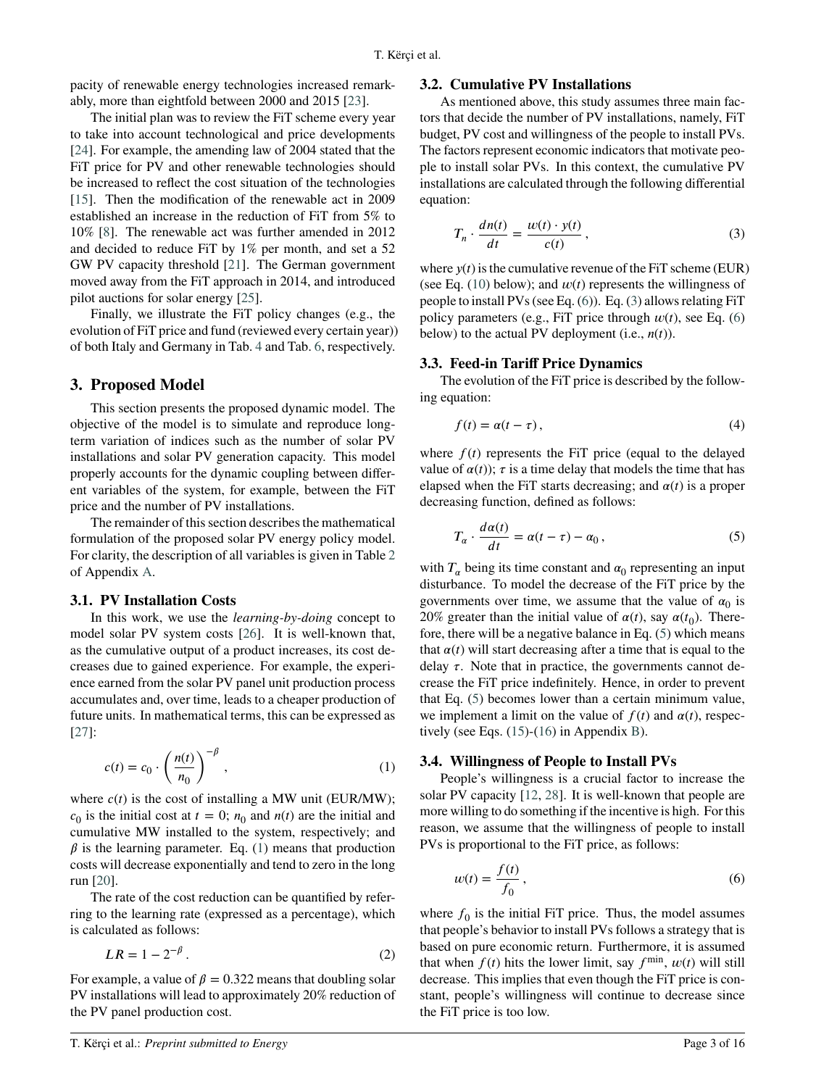pacity of renewable energy technologies increased remarkably, more than eightfold between 2000 and 2015 [\[23\]](#page-14-18).

The initial plan was to review the FiT scheme every year to take into account technological and price developments [\[24\]](#page-14-19). For example, the amending law of 2004 stated that the FiT price for PV and other renewable technologies should be increased to reflect the cost situation of the technologies [\[15\]](#page-14-10). Then the modification of the renewable act in 2009 established an increase in the reduction of FiT from 5% to 10% [\[8\]](#page-14-3). The renewable act was further amended in 2012 and decided to reduce FiT by 1% per month, and set a 52 GW PV capacity threshold [\[21\]](#page-14-16). The German government moved away from the FiT approach in 2014, and introduced pilot auctions for solar energy [\[25\]](#page-14-20).

Finally, we illustrate the FiT policy changes (e.g., the evolution of FiT price and fund (reviewed every certain year)) of both Italy and Germany in Tab. [4](#page-12-2) and Tab. [6,](#page-13-2) respectively.

## <span id="page-2-0"></span>**3. Proposed Model**

This section presents the proposed dynamic model. The objective of the model is to simulate and reproduce longterm variation of indices such as the number of solar PV installations and solar PV generation capacity. This model properly accounts for the dynamic coupling between different variables of the system, for example, between the FiT price and the number of PV installations.

The remainder of this section describes the mathematical formulation of the proposed solar PV energy policy model. For clarity, the description of all variables is given in Table [2](#page-11-0) of Appendix [A.](#page-11-1)

#### **3.1. PV Installation Costs**

In this work, we use the *learning-by-doing* concept to model solar PV system costs [\[26\]](#page-14-21). It is well-known that, as the cumulative output of a product increases, its cost decreases due to gained experience. For example, the experience earned from the solar PV panel unit production process accumulates and, over time, leads to a cheaper production of future units. In mathematical terms, this can be expressed as [\[27\]](#page-14-22):

$$
c(t) = c_0 \cdot \left(\frac{n(t)}{n_0}\right)^{-\beta},\tag{1}
$$

where  $c(t)$  is the cost of installing a MW unit (EUR/MW);  $c_0$  is the initial cost at  $t = 0$ ;  $n_0$  and  $n(t)$  are the initial and cumulative MW installed to the system, respectively; and  $\beta$  is the learning parameter. Eq. [\(1\)](#page-2-1) means that production costs will decrease exponentially and tend to zero in the long run [\[20\]](#page-14-15).

The rate of the cost reduction can be quantified by referring to the learning rate (expressed as a percentage), which is calculated as follows:

$$
LR = 1 - 2^{-\beta} \,. \tag{2}
$$

For example, a value of  $\beta = 0.322$  means that doubling solar PV installations will lead to approximately 20% reduction of the PV panel production cost.

#### **3.2. Cumulative PV Installations**

As mentioned above, this study assumes three main factors that decide the number of PV installations, namely, FiT budget, PV cost and willingness of the people to install PVs. The factors represent economic indicators that motivate people to install solar PVs. In this context, the cumulative PV installations are calculated through the following differential equation:

<span id="page-2-3"></span>
$$
T_n \cdot \frac{dn(t)}{dt} = \frac{w(t) \cdot y(t)}{c(t)},
$$
\n(3)

where  $y(t)$  is the cumulative revenue of the FiT scheme (EUR) (see Eq.  $(10)$  below); and  $w(t)$  represents the willingness of people to install PVs (see Eq. [\(6\)](#page-2-2)). Eq. [\(3\)](#page-2-3) allows relating FiT policy parameters (e.g., FiT price through  $w(t)$ , see Eq. [\(6\)](#page-2-2) below) to the actual PV deployment (i.e.,  $n(t)$ ).

#### **3.3. Feed-in Tariff Price Dynamics**

The evolution of the FiT price is described by the following equation:

<span id="page-2-5"></span>
$$
f(t) = \alpha(t - \tau),\tag{4}
$$

where  $f(t)$  represents the FiT price (equal to the delayed value of  $\alpha(t)$ ;  $\tau$  is a time delay that models the time that has elapsed when the FiT starts decreasing; and  $\alpha(t)$  is a proper decreasing function, defined as follows:

<span id="page-2-4"></span>
$$
T_{\alpha} \cdot \frac{d\alpha(t)}{dt} = \alpha(t - \tau) - \alpha_0, \qquad (5)
$$

with  $T_\alpha$  being its time constant and  $\alpha_0$  representing an input disturbance. To model the decrease of the FiT price by the governments over time, we assume that the value of  $\alpha_0$  is 20% greater than the initial value of  $\alpha(t)$ , say  $\alpha(t_0)$ . Therefore, there will be a negative balance in Eq. [\(5\)](#page-2-4) which means that  $\alpha(t)$  will start decreasing after a time that is equal to the delay  $\tau$ . Note that in practice, the governments cannot decrease the FiT price indefinitely. Hence, in order to prevent that Eq. [\(5\)](#page-2-4) becomes lower than a certain minimum value, we implement a limit on the value of  $f(t)$  and  $\alpha(t)$ , respectively (see Eqs. [\(15\)](#page-11-2)-[\(16\)](#page-11-3) in Appendix [B\)](#page-11-4).

#### <span id="page-2-1"></span>**3.4. Willingness of People to Install PVs**

People's willingness is a crucial factor to increase the solar PV capacity [\[12,](#page-14-7) [28\]](#page-14-23). It is well-known that people are more willing to do something if the incentive is high. For this reason, we assume that the willingness of people to install PVs is proportional to the FiT price, as follows:

<span id="page-2-2"></span>
$$
w(t) = \frac{f(t)}{f_0},\tag{6}
$$

where  $f_0$  is the initial FiT price. Thus, the model assumes that people's behavior to install PVs follows a strategy that is based on pure economic return. Furthermore, it is assumed that when  $f(t)$  hits the lower limit, say  $f^{\min}$ ,  $w(t)$  will still decrease. This implies that even though the FiT price is constant, people's willingness will continue to decrease since the FiT price is too low.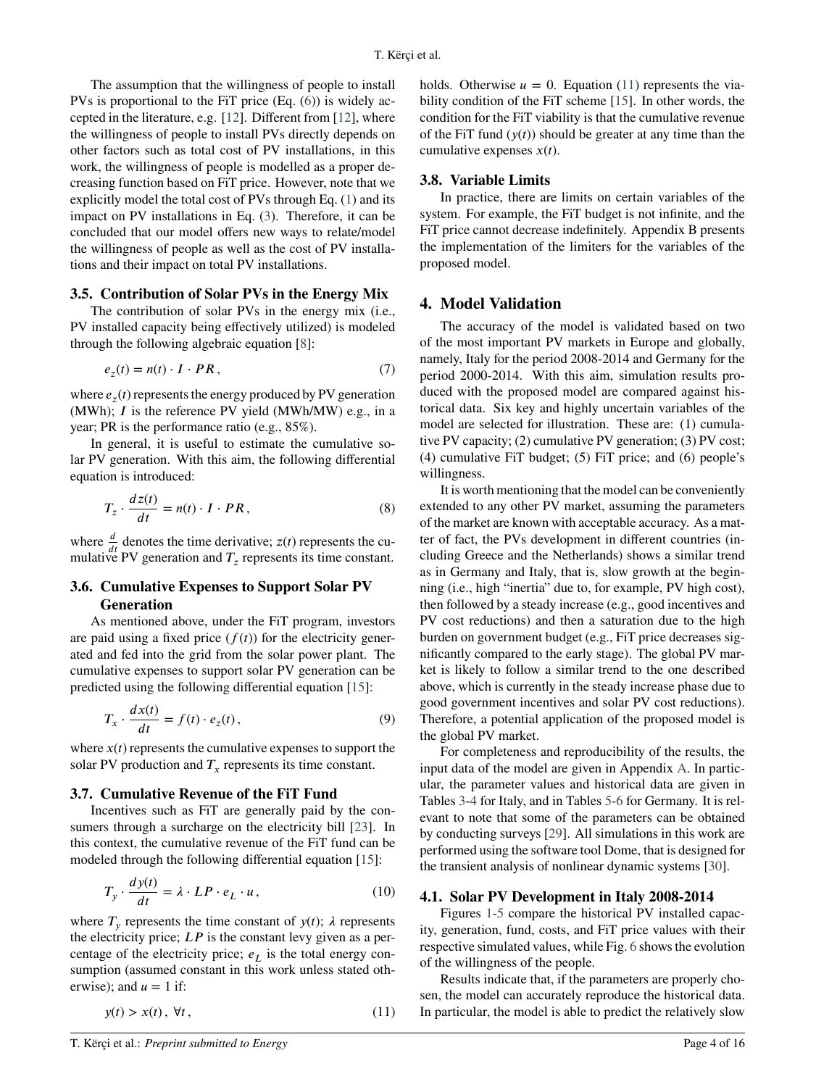The assumption that the willingness of people to install PVs is proportional to the FiT price (Eq. [\(6\)](#page-2-2)) is widely accepted in the literature, e.g. [\[12\]](#page-14-7). Different from [\[12\]](#page-14-7), where the willingness of people to install PVs directly depends on other factors such as total cost of PV installations, in this work, the willingness of people is modelled as a proper decreasing function based on FiT price. However, note that we explicitly model the total cost of PVs through Eq. [\(1\)](#page-2-1) and its impact on PV installations in Eq. [\(3\)](#page-2-3). Therefore, it can be concluded that our model offers new ways to relate/model the willingness of people as well as the cost of PV installations and their impact on total PV installations.

## **3.5. Contribution of Solar PVs in the Energy Mix**

The contribution of solar PVs in the energy mix (i.e., PV installed capacity being effectively utilized) is modeled through the following algebraic equation [\[8\]](#page-14-3):

$$
e_z(t) = n(t) \cdot I \cdot PR, \tag{7}
$$

where  $e_z(t)$  represents the energy produced by PV generation (MWh); *I* is the reference PV yield (MWh/MW) e.g., in a year; PR is the performance ratio (e.g., 85%).

In general, it is useful to estimate the cumulative solar PV generation. With this aim, the following differential equation is introduced:

$$
T_z \cdot \frac{dz(t)}{dt} = n(t) \cdot I \cdot PR,
$$
\n(8)

where  $\frac{d}{dt}$  denotes the time derivative; *z*(*t*) represents the cumulative PV generation and  $T_z$  represents its time constant.

# **3.6. Cumulative Expenses to Support Solar PV Generation**

As mentioned above, under the FiT program, investors are paid using a fixed price  $(f(t))$  for the electricity generated and fed into the grid from the solar power plant. The cumulative expenses to support solar PV generation can be predicted using the following differential equation [\[15\]](#page-14-10):

$$
T_x \cdot \frac{dx(t)}{dt} = f(t) \cdot e_z(t), \qquad (9)
$$

where  $x(t)$  represents the cumulative expenses to support the solar PV production and  $T_x$  represents its time constant.

## **3.7. Cumulative Revenue of the FiT Fund**

Incentives such as FiT are generally paid by the consumers through a surcharge on the electricity bill [\[23\]](#page-14-18). In this context, the cumulative revenue of the FiT fund can be modeled through the following differential equation [\[15\]](#page-14-10):

$$
T_{y} \cdot \frac{dy(t)}{dt} = \lambda \cdot LP \cdot e_{L} \cdot u, \qquad (10)
$$

where  $T_y$  represents the time constant of  $y(t)$ ;  $\lambda$  represents the electricity price;  $LP$  is the constant levy given as a percentage of the electricity price;  $e_L$  is the total energy consumption (assumed constant in this work unless stated otherwise); and  $u = 1$  if:

$$
y(t) > x(t), \forall t,
$$
\n<sup>(11)</sup>

holds. Otherwise  $u = 0$ . Equation [\(11\)](#page-3-2) represents the viability condition of the FiT scheme [\[15\]](#page-14-10). In other words, the condition for the FiT viability is that the cumulative revenue of the FiT fund  $(\gamma(t))$  should be greater at any time than the cumulative expenses  $x(t)$ .

#### **3.8. Variable Limits**

In practice, there are limits on certain variables of the system. For example, the FiT budget is not infinite, and the FiT price cannot decrease indefinitely. Appendix B presents the implementation of the limiters for the variables of the proposed model.

#### <span id="page-3-0"></span>**4. Model Validation**

The accuracy of the model is validated based on two of the most important PV markets in Europe and globally, namely, Italy for the period 2008-2014 and Germany for the period 2000-2014. With this aim, simulation results produced with the proposed model are compared against historical data. Six key and highly uncertain variables of the model are selected for illustration. These are: (1) cumulative PV capacity; (2) cumulative PV generation; (3) PV cost; (4) cumulative FiT budget; (5) FiT price; and (6) people's willingness.

<span id="page-3-3"></span>It is worth mentioning that the model can be conveniently extended to any other PV market, assuming the parameters of the market are known with acceptable accuracy. As a matter of fact, the PVs development in different countries (including Greece and the Netherlands) shows a similar trend as in Germany and Italy, that is, slow growth at the beginning (i.e., high "inertia" due to, for example, PV high cost), then followed by a steady increase (e.g., good incentives and PV cost reductions) and then a saturation due to the high burden on government budget (e.g., FiT price decreases significantly compared to the early stage). The global PV market is likely to follow a similar trend to the one described above, which is currently in the steady increase phase due to good government incentives and solar PV cost reductions). Therefore, a potential application of the proposed model is the global PV market.

<span id="page-3-4"></span>For completeness and reproducibility of the results, the input data of the model are given in Appendix [A.](#page-11-1) In particular, the parameter values and historical data are given in Tables [3](#page-12-3)[-4](#page-12-2) for Italy, and in Tables [5-](#page-13-3)[6](#page-13-2) for Germany. It is relevant to note that some of the parameters can be obtained by conducting surveys [\[29\]](#page-14-24). All simulations in this work are performed using the software tool Dome, that is designed for the transient analysis of nonlinear dynamic systems [\[30\]](#page-15-0).

#### <span id="page-3-1"></span>**4.1. Solar PV Development in Italy 2008-2014**

Figures [1-](#page-4-0)[5](#page-4-1) compare the historical PV installed capacity, generation, fund, costs, and FiT price values with their respective simulated values, while Fig. [6](#page-4-2) shows the evolution of the willingness of the people.

<span id="page-3-2"></span>Results indicate that, if the parameters are properly chosen, the model can accurately reproduce the historical data. In particular, the model is able to predict the relatively slow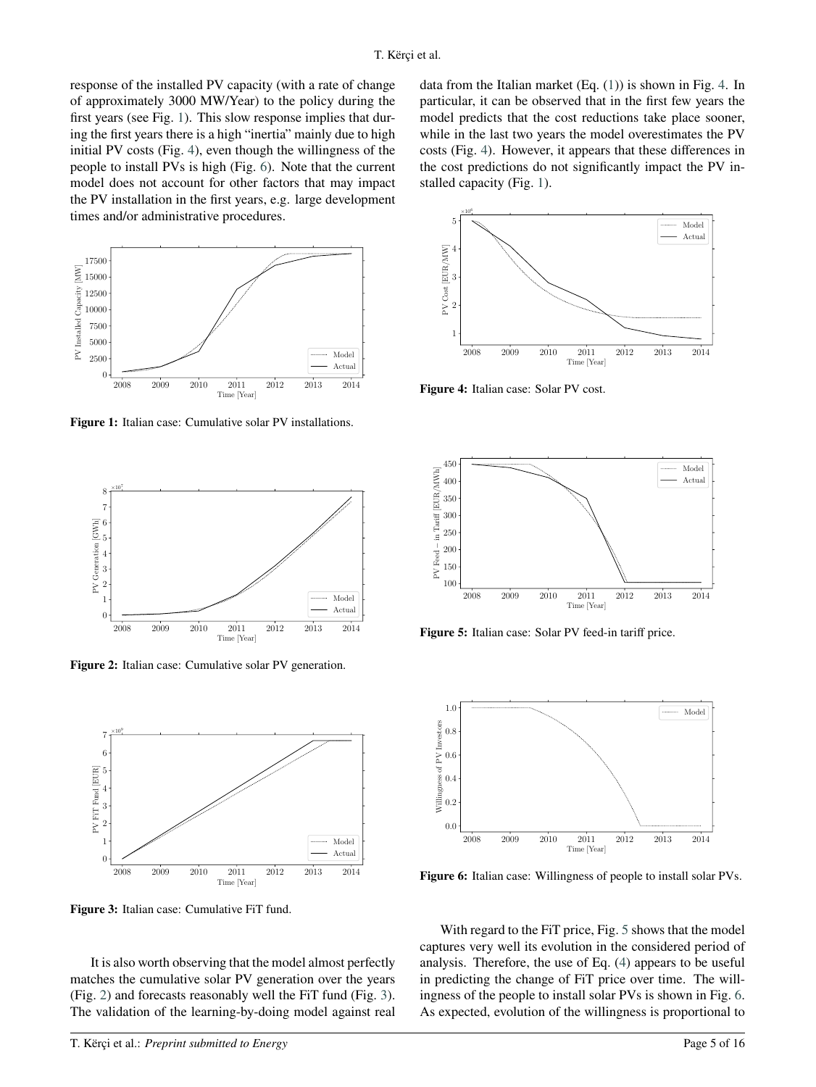response of the installed PV capacity (with a rate of change of approximately 3000 MW/Year) to the policy during the first years (see Fig. [1\)](#page-4-0). This slow response implies that during the first years there is a high "inertia" mainly due to high initial PV costs (Fig. [4\)](#page-4-3), even though the willingness of the people to install PVs is high (Fig. [6\)](#page-4-2). Note that the current model does not account for other factors that may impact the PV installation in the first years, e.g. large development times and/or administrative procedures.



<span id="page-4-0"></span>**Figure 1:** Italian case: Cumulative solar PV installations.



<span id="page-4-4"></span>**Figure 2:** Italian case: Cumulative solar PV generation.



<span id="page-4-5"></span>**Figure 3:** Italian case: Cumulative FiT fund.

It is also worth observing that the model almost perfectly matches the cumulative solar PV generation over the years (Fig. [2\)](#page-4-4) and forecasts reasonably well the FiT fund (Fig. [3\)](#page-4-5). The validation of the learning-by-doing model against real

data from the Italian market (Eq. [\(1\)](#page-2-1)) is shown in Fig. [4.](#page-4-3) In particular, it can be observed that in the first few years the model predicts that the cost reductions take place sooner, while in the last two years the model overestimates the PV costs (Fig. [4\)](#page-4-3). However, it appears that these differences in the cost predictions do not significantly impact the PV installed capacity (Fig. [1\)](#page-4-0).



<span id="page-4-3"></span>**Figure 4:** Italian case: Solar PV cost.



<span id="page-4-1"></span>**Figure 5:** Italian case: Solar PV feed-in tariff price.



<span id="page-4-2"></span>**Figure 6:** Italian case: Willingness of people to install solar PVs.

With regard to the FiT price, Fig. [5](#page-4-1) shows that the model captures very well its evolution in the considered period of analysis. Therefore, the use of Eq. [\(4\)](#page-2-5) appears to be useful in predicting the change of FiT price over time. The willingness of the people to install solar PVs is shown in Fig. [6.](#page-4-2) As expected, evolution of the willingness is proportional to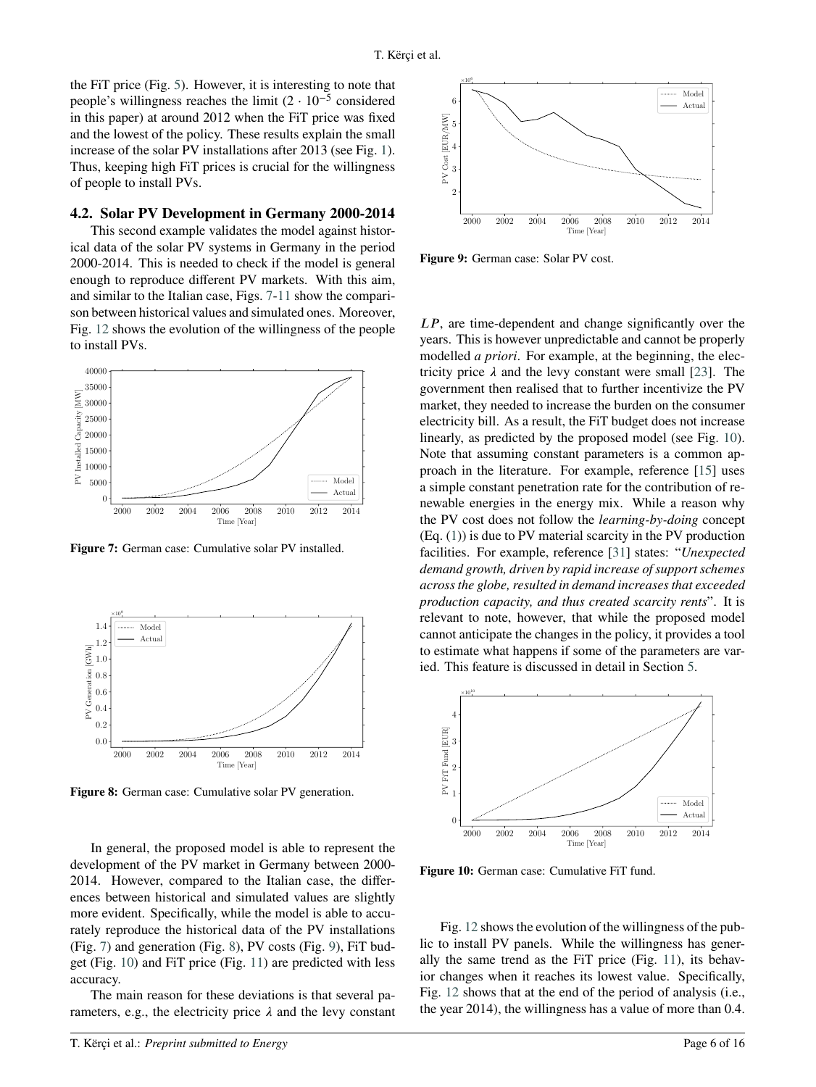the FiT price (Fig. [5\)](#page-4-1). However, it is interesting to note that people's willingness reaches the limit  $(2 \cdot 10^{-5} \text{ considered})$ in this paper) at around 2012 when the FiT price was fixed and the lowest of the policy. These results explain the small increase of the solar PV installations after 2013 (see Fig. [1\)](#page-4-0). Thus, keeping high FiT prices is crucial for the willingness of people to install PVs.

#### **4.2. Solar PV Development in Germany 2000-2014**

This second example validates the model against historical data of the solar PV systems in Germany in the period 2000-2014. This is needed to check if the model is general enough to reproduce different PV markets. With this aim, and similar to the Italian case, Figs. [7-](#page-5-0)[11](#page-6-1) show the comparison between historical values and simulated ones. Moreover, Fig. [12](#page-6-2) shows the evolution of the willingness of the people to install PVs.



<span id="page-5-0"></span>**Figure 7:** German case: Cumulative solar PV installed.



<span id="page-5-1"></span>**Figure 8:** German case: Cumulative solar PV generation.

In general, the proposed model is able to represent the development of the PV market in Germany between 2000- 2014. However, compared to the Italian case, the differences between historical and simulated values are slightly more evident. Specifically, while the model is able to accurately reproduce the historical data of the PV installations (Fig. [7\)](#page-5-0) and generation (Fig. [8\)](#page-5-1), PV costs (Fig. [9\)](#page-5-2), FiT budget (Fig. [10\)](#page-5-3) and FiT price (Fig. [11\)](#page-6-1) are predicted with less accuracy.

The main reason for these deviations is that several parameters, e.g., the electricity price  $\lambda$  and the levy constant



<span id="page-5-2"></span>**Figure 9:** German case: Solar PV cost.

*LP*, are time-dependent and change significantly over the years. This is however unpredictable and cannot be properly modelled *a priori*. For example, at the beginning, the electricity price  $\lambda$  and the levy constant were small [\[23\]](#page-14-18). The government then realised that to further incentivize the PV market, they needed to increase the burden on the consumer electricity bill. As a result, the FiT budget does not increase linearly, as predicted by the proposed model (see Fig. [10\)](#page-5-3). Note that assuming constant parameters is a common approach in the literature. For example, reference [\[15\]](#page-14-10) uses a simple constant penetration rate for the contribution of renewable energies in the energy mix. While a reason why the PV cost does not follow the *learning-by-doing* concept (Eq. [\(1\)](#page-2-1)) is due to PV material scarcity in the PV production facilities. For example, reference [\[31\]](#page-15-1) states: "*Unexpected demand growth, driven by rapid increase of support schemes across the globe, resulted in demand increases that exceeded production capacity, and thus created scarcity rents*". It is relevant to note, however, that while the proposed model cannot anticipate the changes in the policy, it provides a tool to estimate what happens if some of the parameters are varied. This feature is discussed in detail in Section [5.](#page-6-0)



<span id="page-5-3"></span>**Figure 10:** German case: Cumulative FiT fund.

Fig. [12](#page-6-2) shows the evolution of the willingness of the public to install PV panels. While the willingness has generally the same trend as the FiT price (Fig. [11\)](#page-6-1), its behavior changes when it reaches its lowest value. Specifically, Fig. [12](#page-6-2) shows that at the end of the period of analysis (i.e., the year 2014), the willingness has a value of more than 0.4.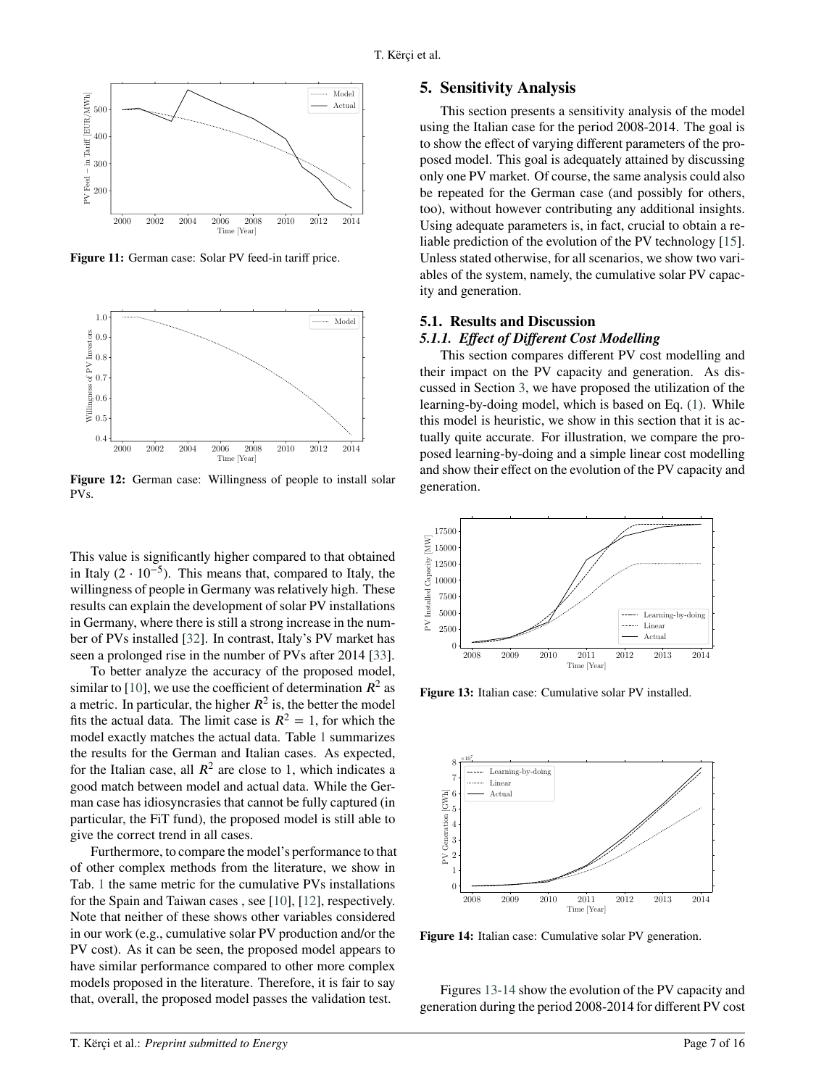

<span id="page-6-1"></span>Figure 11: German case: Solar PV feed-in tariff price.



<span id="page-6-2"></span>**Figure 12:** German case: Willingness of people to install solar PVs.

This value is significantly higher compared to that obtained in Italy  $(2 \cdot 10^{-5})$ . This means that, compared to Italy, the willingness of people in Germany was relatively high. These results can explain the development of solar PV installations in Germany, where there is still a strong increase in the number of PVs installed [\[32\]](#page-15-2). In contrast, Italy's PV market has seen a prolonged rise in the number of PVs after 2014 [\[33\]](#page-15-3).

To better analyze the accuracy of the proposed model, similar to [\[10\]](#page-14-5), we use the coefficient of determination  $R^2$  as a metric. In particular, the higher  $R^2$  is, the better the model fits the actual data. The limit case is  $R^2 = 1$ , for which the model exactly matches the actual data. Table [1](#page-7-0) summarizes the results for the German and Italian cases. As expected, for the Italian case, all  $R^2$  are close to 1, which indicates a good match between model and actual data. While the German case has idiosyncrasies that cannot be fully captured (in particular, the FiT fund), the proposed model is still able to give the correct trend in all cases.

Furthermore, to compare the model's performance to that of other complex methods from the literature, we show in Tab. [1](#page-7-0) the same metric for the cumulative PVs installations for the Spain and Taiwan cases , see [\[10\]](#page-14-5), [\[12\]](#page-14-7), respectively. Note that neither of these shows other variables considered in our work (e.g., cumulative solar PV production and/or the PV cost). As it can be seen, the proposed model appears to have similar performance compared to other more complex models proposed in the literature. Therefore, it is fair to say that, overall, the proposed model passes the validation test.

#### <span id="page-6-0"></span>**5. Sensitivity Analysis**

This section presents a sensitivity analysis of the model using the Italian case for the period 2008-2014. The goal is to show the effect of varying different parameters of the proposed model. This goal is adequately attained by discussing only one PV market. Of course, the same analysis could also be repeated for the German case (and possibly for others, too), without however contributing any additional insights. Using adequate parameters is, in fact, crucial to obtain a reliable prediction of the evolution of the PV technology [\[15\]](#page-14-10). Unless stated otherwise, for all scenarios, we show two variables of the system, namely, the cumulative solar PV capacity and generation.

## **5.1. Results and Discussion**

#### *5.1.1. Effect of Different Cost Modelling*

This section compares different PV cost modelling and their impact on the PV capacity and generation. As discussed in Section [3,](#page-2-0) we have proposed the utilization of the learning-by-doing model, which is based on Eq. [\(1\)](#page-2-1). While this model is heuristic, we show in this section that it is actually quite accurate. For illustration, we compare the proposed learning-by-doing and a simple linear cost modelling and show their effect on the evolution of the PV capacity and generation.



<span id="page-6-3"></span>**Figure 13:** Italian case: Cumulative solar PV installed.



<span id="page-6-4"></span>Figure 14: Italian case: Cumulative solar PV generation.

Figures [13](#page-6-3)[-14](#page-6-4) show the evolution of the PV capacity and generation during the period 2008-2014 for different PV cost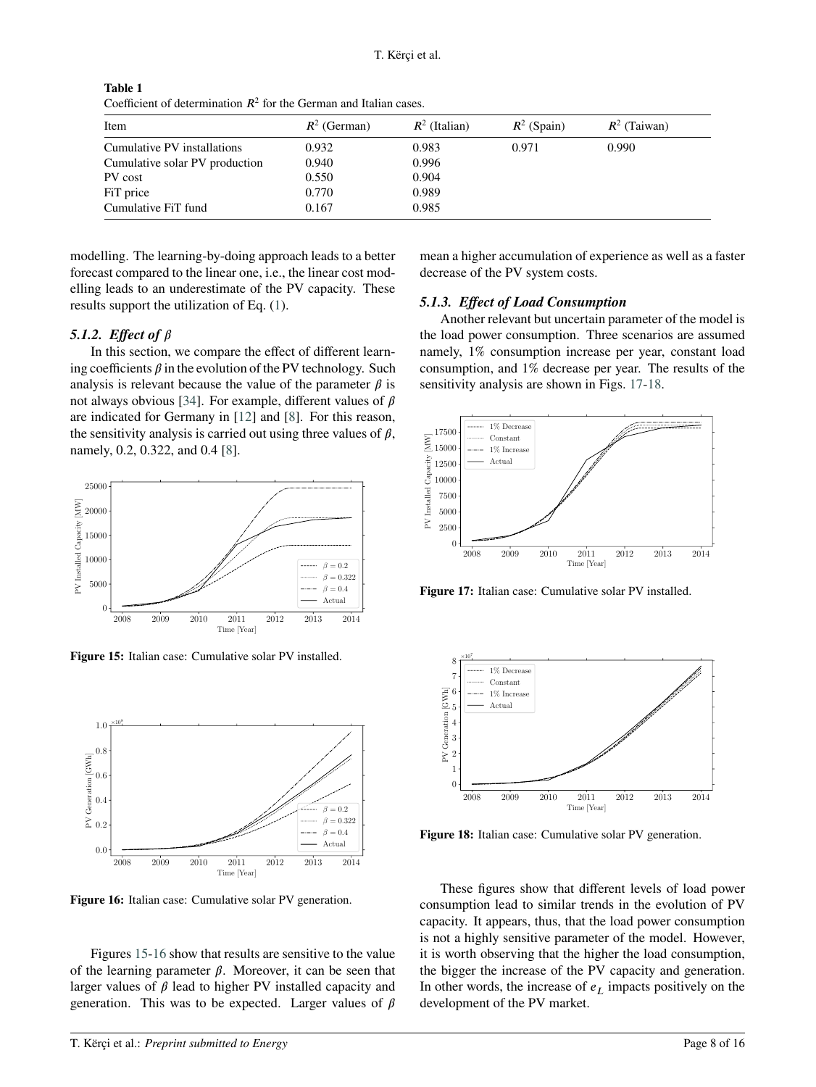| Coomonical of Golommunical IV for the Communication required. |                |                 |               |                |
|---------------------------------------------------------------|----------------|-----------------|---------------|----------------|
| Item                                                          | $R^2$ (German) | $R^2$ (Italian) | $R^2$ (Spain) | $R^2$ (Taiwan) |
| Cumulative PV installations                                   | 0.932          | 0.983           | 0.971         | 0.990          |
| Cumulative solar PV production                                | 0.940          | 0.996           |               |                |
| PV cost                                                       | 0.550          | 0.904           |               |                |
| FiT price                                                     | 0.770          | 0.989           |               |                |
| Cumulative FiT fund                                           | 0.167          | 0.985           |               |                |

<span id="page-7-0"></span>**Table 1** Coefficient of determination  $R^2$  for the German and Italian cases.

modelling. The learning-by-doing approach leads to a better forecast compared to the linear one, i.e., the linear cost modelling leads to an underestimate of the PV capacity. These results support the utilization of Eq. [\(1\)](#page-2-1).

## 5.1.2. *Effect of*  $\beta$

In this section, we compare the effect of different learning coefficients  $\beta$  in the evolution of the PV technology. Such analysis is relevant because the value of the parameter  $\beta$  is not always obvious [\[34\]](#page-15-4). For example, different values of  $\beta$ are indicated for Germany in [\[12\]](#page-14-7) and [\[8\]](#page-14-3). For this reason, the sensitivity analysis is carried out using three values of  $\beta$ , namely, 0.2, 0.322, and 0.4 [\[8\]](#page-14-3).



<span id="page-7-1"></span>**Figure 15:** Italian case: Cumulative solar PV installed.



<span id="page-7-2"></span>**Figure 16:** Italian case: Cumulative solar PV generation.

Figures [15-](#page-7-1)[16](#page-7-2) show that results are sensitive to the value of the learning parameter  $\beta$ . Moreover, it can be seen that larger values of  $\beta$  lead to higher PV installed capacity and generation. This was to be expected. Larger values of  $\beta$ 

mean a higher accumulation of experience as well as a faster decrease of the PV system costs.

#### *5.1.3. Effect of Load Consumption*

Another relevant but uncertain parameter of the model is the load power consumption. Three scenarios are assumed namely, 1% consumption increase per year, constant load consumption, and 1% decrease per year. The results of the sensitivity analysis are shown in Figs. [17-](#page-7-3)[18.](#page-7-4)



<span id="page-7-3"></span>**Figure 17:** Italian case: Cumulative solar PV installed.



<span id="page-7-4"></span>**Figure 18:** Italian case: Cumulative solar PV generation.

These figures show that different levels of load power consumption lead to similar trends in the evolution of PV capacity. It appears, thus, that the load power consumption is not a highly sensitive parameter of the model. However, it is worth observing that the higher the load consumption, the bigger the increase of the PV capacity and generation. In other words, the increase of  $e<sub>L</sub>$  impacts positively on the development of the PV market.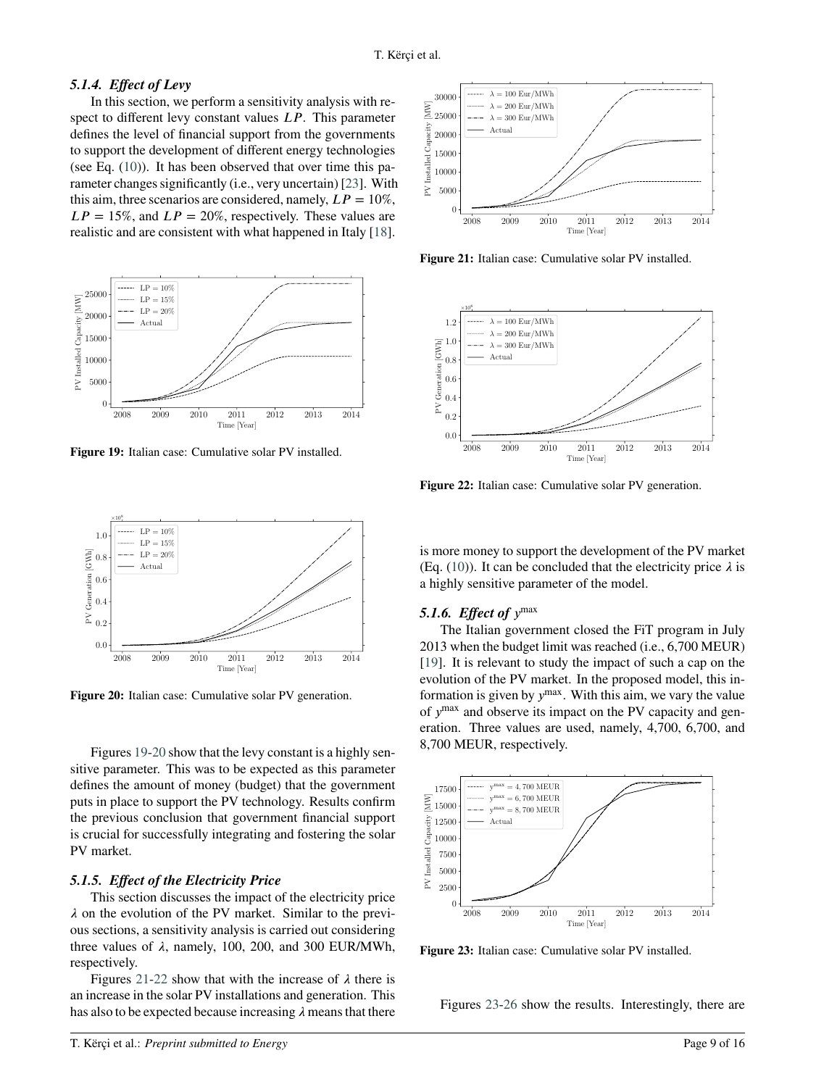# *5.1.4. Effect of Levy*

In this section, we perform a sensitivity analysis with respect to different levy constant values *LP*. This parameter defines the level of financial support from the governments to support the development of different energy technologies (see Eq.  $(10)$ ). It has been observed that over time this parameter changes significantly (i.e., very uncertain) [\[23\]](#page-14-18). With this aim, three scenarios are considered, namely,  $LP = 10\%$ ,  $LP = 15\%$ , and  $LP = 20\%$ , respectively. These values are realistic and are consistent with what happened in Italy [\[18\]](#page-14-13).



<span id="page-8-0"></span>**Figure 19:** Italian case: Cumulative solar PV installed.



<span id="page-8-1"></span>**Figure 20:** Italian case: Cumulative solar PV generation.

Figures [19](#page-8-0)[-20](#page-8-1) show that the levy constant is a highly sensitive parameter. This was to be expected as this parameter defines the amount of money (budget) that the government puts in place to support the PV technology. Results confirm the previous conclusion that government financial support is crucial for successfully integrating and fostering the solar PV market.

#### *5.1.5. Effect of the Electricity Price*

This section discusses the impact of the electricity price  $\lambda$  on the evolution of the PV market. Similar to the previous sections, a sensitivity analysis is carried out considering three values of  $\lambda$ , namely, 100, 200, and 300 EUR/MWh, respectively.

Figures [21](#page-8-2)[-22](#page-8-3) show that with the increase of  $\lambda$  there is an increase in the solar PV installations and generation. This has also to be expected because increasing  $\lambda$  means that there



<span id="page-8-2"></span>**Figure 21:** Italian case: Cumulative solar PV installed.



<span id="page-8-3"></span>**Figure 22:** Italian case: Cumulative solar PV generation.

is more money to support the development of the PV market (Eq. [\(10\)](#page-3-1)). It can be concluded that the electricity price  $\lambda$  is a highly sensitive parameter of the model.

# **5.1.6.** Effect of  $y^{\text{max}}$

The Italian government closed the FiT program in July 2013 when the budget limit was reached (i.e., 6,700 MEUR) [\[19\]](#page-14-14). It is relevant to study the impact of such a cap on the evolution of the PV market. In the proposed model, this information is given by  $y^{max}$ . With this aim, we vary the value of  $y^{\text{max}}$  and observe its impact on the PV capacity and generation. Three values are used, namely, 4,700, 6,700, and 8,700 MEUR, respectively.



<span id="page-8-4"></span>**Figure 23:** Italian case: Cumulative solar PV installed.

Figures [23](#page-8-4)[-26](#page-9-0) show the results. Interestingly, there are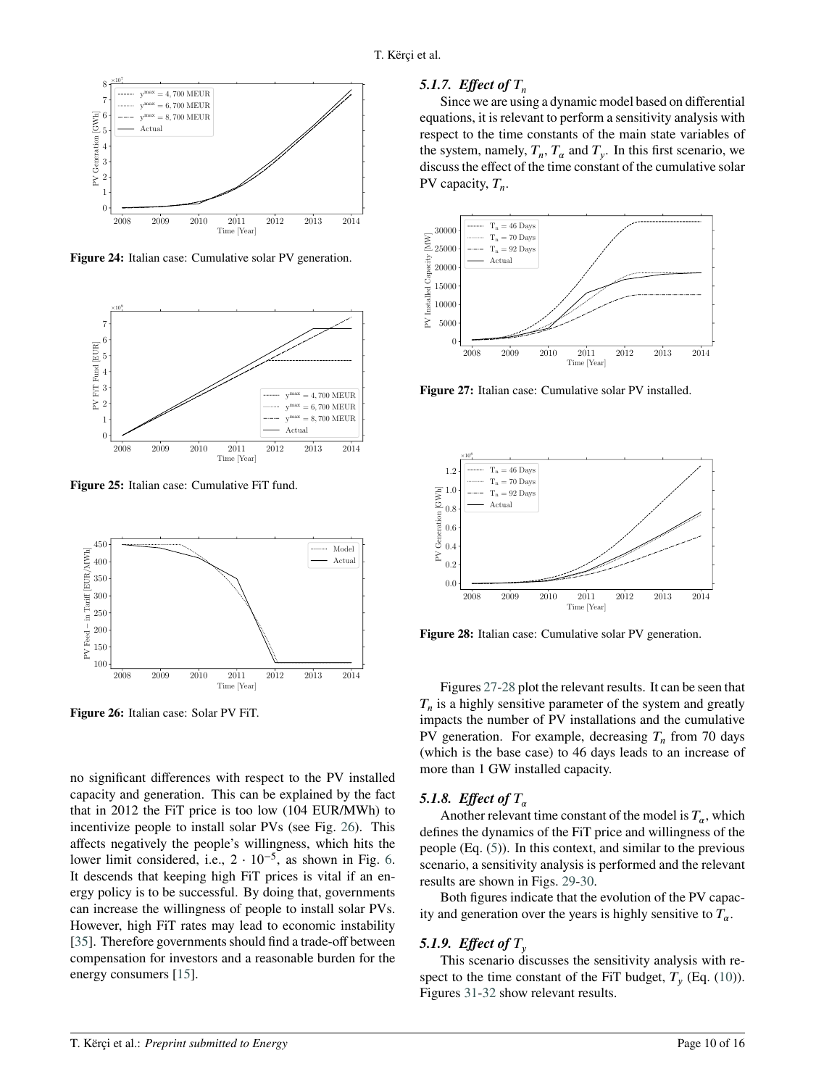

Figure 24: Italian case: Cumulative solar PV generation.



**Figure 25:** Italian case: Cumulative FiT fund.



<span id="page-9-0"></span>**Figure 26:** Italian case: Solar PV FiT.

no significant differences with respect to the PV installed capacity and generation. This can be explained by the fact that in 2012 the FiT price is too low (104 EUR/MWh) to incentivize people to install solar PVs (see Fig. [26\)](#page-9-0). This affects negatively the people's willingness, which hits the lower limit considered, i.e.,  $2 \cdot 10^{-5}$ , as shown in Fig. [6.](#page-4-2) It descends that keeping high FiT prices is vital if an energy policy is to be successful. By doing that, governments can increase the willingness of people to install solar PVs. However, high FiT rates may lead to economic instability [\[35\]](#page-15-5). Therefore governments should find a trade-off between compensation for investors and a reasonable burden for the energy consumers [\[15\]](#page-14-10).

## 5.1.7. *Effect of*  $T_n$

Since we are using a dynamic model based on differential equations, it is relevant to perform a sensitivity analysis with respect to the time constants of the main state variables of the system, namely,  $T_n$ ,  $T_\alpha$  and  $T_y$ . In this first scenario, we discuss the effect of the time constant of the cumulative solar PV capacity,  $T_n$ .



<span id="page-9-1"></span>**Figure 27:** Italian case: Cumulative solar PV installed.



<span id="page-9-2"></span>**Figure 28:** Italian case: Cumulative solar PV generation.

Figures [27](#page-9-1)[-28](#page-9-2) plot the relevant results. It can be seen that  $T_n$  is a highly sensitive parameter of the system and greatly impacts the number of PV installations and the cumulative PV generation. For example, decreasing  $T_n$  from 70 days (which is the base case) to 46 days leads to an increase of more than 1 GW installed capacity.

# 5.1.8. *Effect of*  $T_a$

Another relevant time constant of the model is  $T_{\alpha}$ , which defines the dynamics of the FiT price and willingness of the people (Eq. [\(5\)](#page-2-4)). In this context, and similar to the previous scenario, a sensitivity analysis is performed and the relevant results are shown in Figs. [29-](#page-10-1)[30.](#page-10-2)

Both figures indicate that the evolution of the PV capacity and generation over the years is highly sensitive to  $T_a$ .

# 5.1.9. *Effect of*  $T_{\nu}$

This scenario discusses the sensitivity analysis with respect to the time constant of the FiT budget,  $T_y$  (Eq. [\(10\)](#page-3-1)). Figures [31](#page-10-3)[-32](#page-10-4) show relevant results.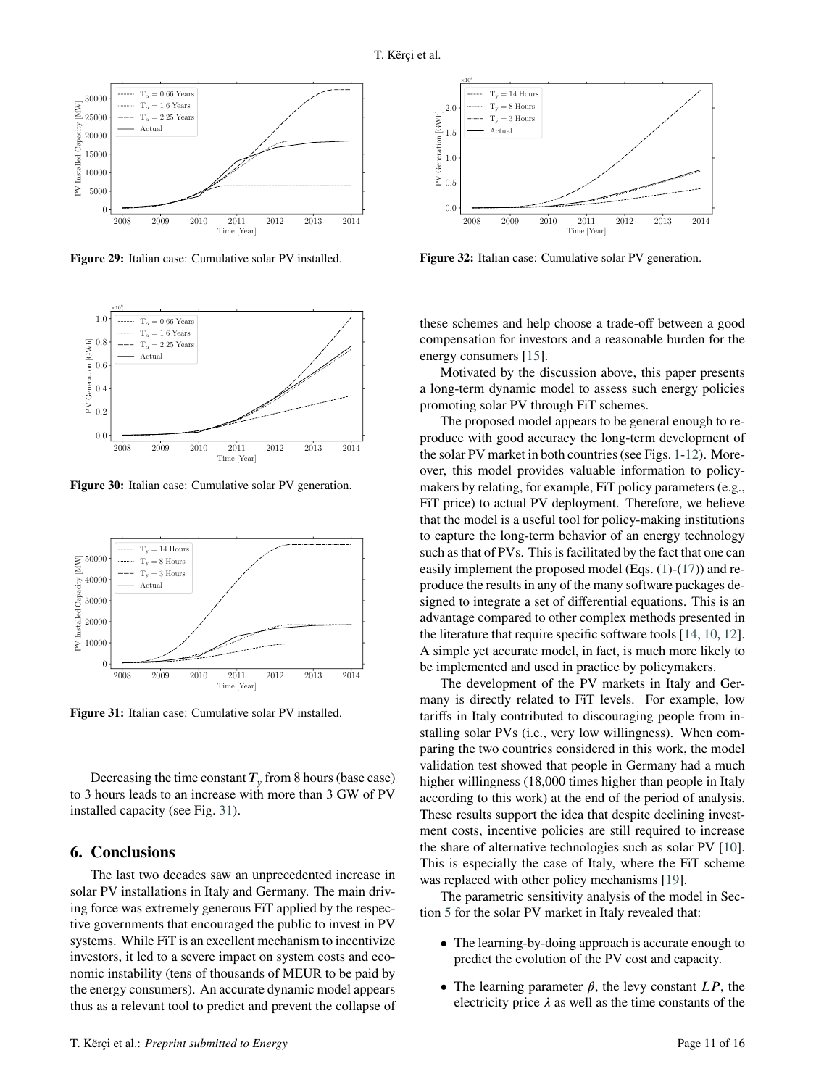

<span id="page-10-1"></span>**Figure 29:** Italian case: Cumulative solar PV installed.



<span id="page-10-2"></span>**Figure 30:** Italian case: Cumulative solar PV generation.



<span id="page-10-3"></span>**Figure 31:** Italian case: Cumulative solar PV installed.

Decreasing the time constant  $T_y$  from 8 hours (base case) to 3 hours leads to an increase with more than 3 GW of PV installed capacity (see Fig. [31\)](#page-10-3).

# <span id="page-10-0"></span>**6. Conclusions**

The last two decades saw an unprecedented increase in solar PV installations in Italy and Germany. The main driving force was extremely generous FiT applied by the respective governments that encouraged the public to invest in PV systems. While FiT is an excellent mechanism to incentivize investors, it led to a severe impact on system costs and economic instability (tens of thousands of MEUR to be paid by the energy consumers). An accurate dynamic model appears thus as a relevant tool to predict and prevent the collapse of



<span id="page-10-4"></span>Figure 32: Italian case: Cumulative solar PV generation.

these schemes and help choose a trade-off between a good compensation for investors and a reasonable burden for the energy consumers [\[15\]](#page-14-10).

Motivated by the discussion above, this paper presents a long-term dynamic model to assess such energy policies promoting solar PV through FiT schemes.

The proposed model appears to be general enough to reproduce with good accuracy the long-term development of the solar PV market in both countries (see Figs. [1](#page-4-0)[-12\)](#page-6-2). Moreover, this model provides valuable information to policymakers by relating, for example, FiT policy parameters (e.g., FiT price) to actual PV deployment. Therefore, we believe that the model is a useful tool for policy-making institutions to capture the long-term behavior of an energy technology such as that of PVs. This is facilitated by the fact that one can easily implement the proposed model (Eqs. [\(1\)](#page-2-1)-[\(17\)](#page-11-5)) and reproduce the results in any of the many software packages designed to integrate a set of differential equations. This is an advantage compared to other complex methods presented in the literature that require specific software tools [\[14,](#page-14-9) [10,](#page-14-5) [12\]](#page-14-7). A simple yet accurate model, in fact, is much more likely to be implemented and used in practice by policymakers.

The development of the PV markets in Italy and Germany is directly related to FiT levels. For example, low tariffs in Italy contributed to discouraging people from installing solar PVs (i.e., very low willingness). When comparing the two countries considered in this work, the model validation test showed that people in Germany had a much higher willingness (18,000 times higher than people in Italy according to this work) at the end of the period of analysis. These results support the idea that despite declining investment costs, incentive policies are still required to increase the share of alternative technologies such as solar PV [\[10\]](#page-14-5). This is especially the case of Italy, where the FiT scheme was replaced with other policy mechanisms [\[19\]](#page-14-14).

The parametric sensitivity analysis of the model in Section [5](#page-6-0) for the solar PV market in Italy revealed that:

- The learning-by-doing approach is accurate enough to predict the evolution of the PV cost and capacity.
- The learning parameter  $\beta$ , the levy constant  $LP$ , the electricity price  $\lambda$  as well as the time constants of the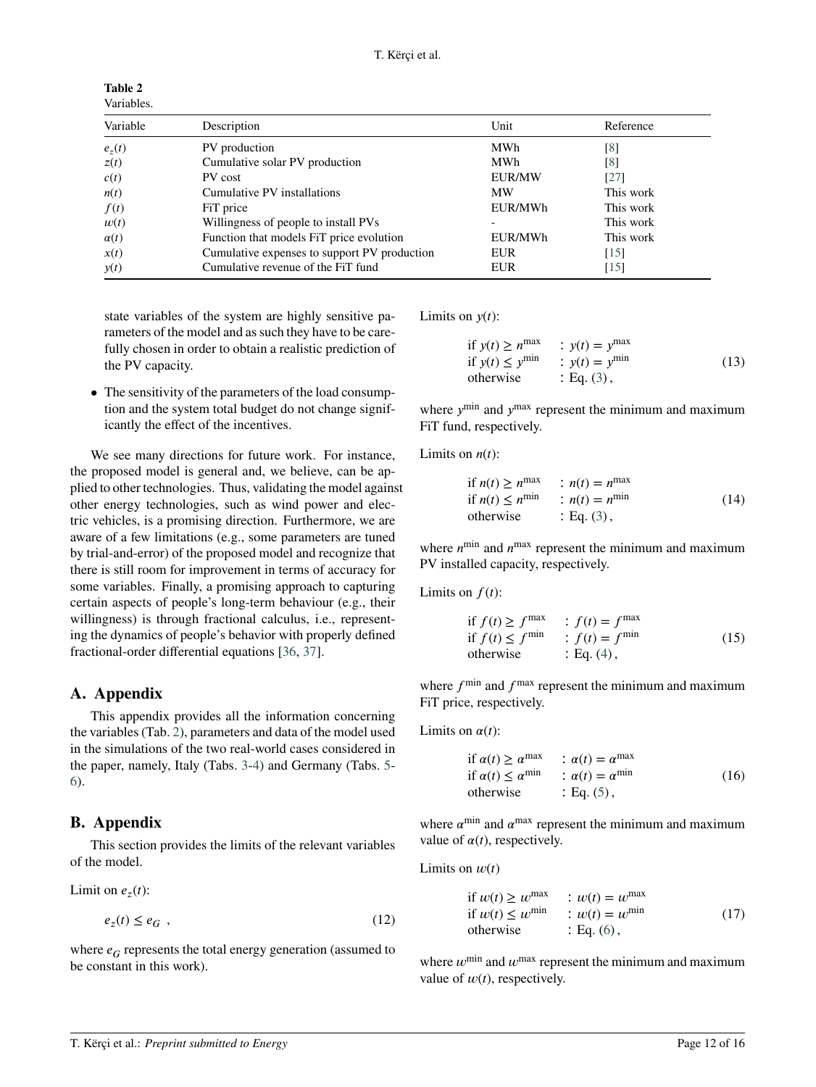<span id="page-11-0"></span>**Table 2** Variables.

| Variable    | Description                                  | Unit          | Reference |
|-------------|----------------------------------------------|---------------|-----------|
| $e_z(t)$    | PV production                                | <b>MWh</b>    | [8]       |
| z(t)        | Cumulative solar PV production               | MWh           | [8]       |
| c(t)        | PV cost                                      | <b>EUR/MW</b> | [27]      |
| n(t)        | Cumulative PV installations                  | <b>MW</b>     | This work |
| f(t)        | FiT price                                    | EUR/MWh       | This work |
| w(t)        | Willingness of people to install PVs         |               | This work |
| $\alpha(t)$ | Function that models FiT price evolution     | EUR/MWh       | This work |
| x(t)        | Cumulative expenses to support PV production | <b>EUR</b>    | [15]      |
| y(t)        | Cumulative revenue of the FiT fund           | EUR           | [15]      |

state variables of the system are highly sensitive parameters of the model and as such they have to be carefully chosen in order to obtain a realistic prediction of the PV capacity.

• The sensitivity of the parameters of the load consumption and the system total budget do not change significantly the effect of the incentives.

We see many directions for future work. For instance, the proposed model is general and, we believe, can be applied to other technologies. Thus, validating the model against other energy technologies, such as wind power and electric vehicles, is a promising direction. Furthermore, we are aware of a few limitations (e.g., some parameters are tuned by trial-and-error) of the proposed model and recognize that there is still room for improvement in terms of accuracy for some variables. Finally, a promising approach to capturing certain aspects of people's long-term behaviour (e.g., their willingness) is through fractional calculus, i.e., representing the dynamics of people's behavior with properly defined fractional-order differential equations [\[36,](#page-15-6) [37\]](#page-15-7).

# <span id="page-11-1"></span>**A. Appendix**

This appendix provides all the information concerning the variables (Tab. [2\)](#page-11-0), parameters and data of the model used in the simulations of the two real-world cases considered in the paper, namely, Italy (Tabs. [3-](#page-12-3)[4\)](#page-12-2) and Germany (Tabs. [5-](#page-13-3) [6\)](#page-13-2).

# <span id="page-11-4"></span>**B. Appendix**

This section provides the limits of the relevant variables of the model.

Limit on 
$$
e_z(t)
$$
:

$$
e_z(t) \le e_G \tag{12}
$$

where  $e_G$  represents the total energy generation (assumed to be constant in this work).

Limits on  $y(t)$ :

if 
$$
y(t) \ge n^{\max}
$$
 :  $y(t) = y^{\max}$   
if  $y(t) \le y^{\min}$  :  $y(t) = y^{\min}$   
otherwise : Eq. (3), (13)

where  $y^{\text{min}}$  and  $y^{\text{max}}$  represent the minimum and maximum FiT fund, respectively.

Limits on  $n(t)$ :

if 
$$
n(t) \ge n^{\max}
$$
 :  $n(t) = n^{\max}$   
if  $n(t) \le n^{\min}$  :  $n(t) = n^{\min}$   
otherwise : Eq. (3), (14)

where  $n^{\min}$  and  $n^{\max}$  represent the minimum and maximum PV installed capacity, respectively.

Limits on  $f(t)$ :

<span id="page-11-2"></span>if 
$$
f(t) \ge f^{\max}
$$
 :  $f(t) = f^{\max}$   
if  $f(t) \le f^{\min}$  :  $f(t) = f^{\min}$   
otherwise : Eq. (4), (15)

where  $f^{\text{min}}$  and  $f^{\text{max}}$  represent the minimum and maximum FiT price, respectively.

Limits on  $\alpha(t)$ :

<span id="page-11-3"></span>if 
$$
\alpha(t) \ge \alpha^{\max}
$$
 :  $\alpha(t) = \alpha^{\max}$   
if  $\alpha(t) \le \alpha^{\min}$  :  $\alpha(t) = \alpha^{\min}$   
otherwise : Eq. (5), (16)

where  $\alpha^{\text{min}}$  and  $\alpha^{\text{max}}$  represent the minimum and maximum value of  $\alpha(t)$ , respectively.

Limits on  $w(t)$ 

<span id="page-11-5"></span>if 
$$
w(t) \ge w^{\max}
$$
 :  $w(t) = w^{\max}$   
if  $w(t) \le w^{\min}$  :  $w(t) = w^{\min}$   
otherwise : Eq. (6), (17)

where  $w^{\text{min}}$  and  $w^{\text{max}}$  represent the minimum and maximum value of  $w(t)$ , respectively.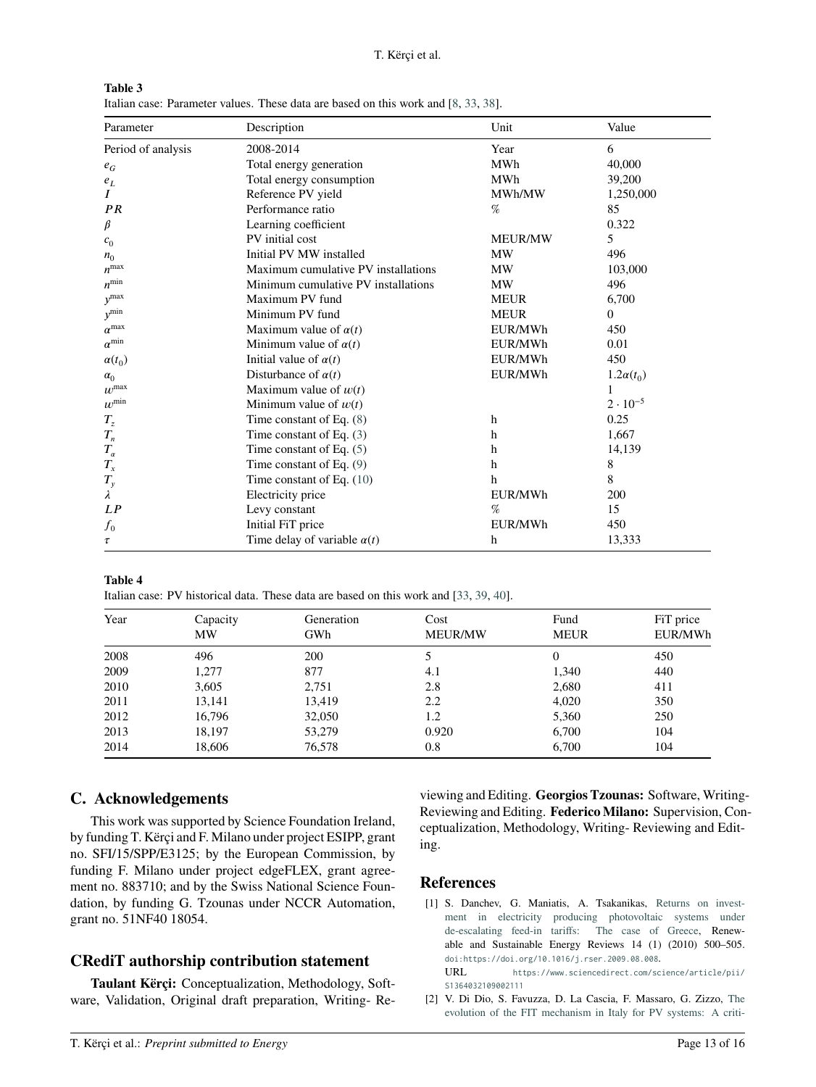<span id="page-12-3"></span>

| Table 3 |                                                                                    |
|---------|------------------------------------------------------------------------------------|
|         | Italian case: Parameter values. These data are based on this work and [8, 33, 38]. |

| Parameter          | Description                         | Unit           | Value             |
|--------------------|-------------------------------------|----------------|-------------------|
| Period of analysis | 2008-2014                           | Year           | 6                 |
| $e_G$              | Total energy generation             | <b>MWh</b>     | 40,000            |
| $e_{L}$            | Total energy consumption            | <b>MWh</b>     | 39,200            |
| $\boldsymbol{I}$   | Reference PV yield                  | MWh/MW         | 1,250,000         |
| PR                 | Performance ratio                   | %              | 85                |
| β                  | Learning coefficient                |                | 0.322             |
| c <sub>0</sub>     | PV initial cost                     | <b>MEUR/MW</b> | 5                 |
| $n_0$              | Initial PV MW installed             | MW             | 496               |
| $n^{\max}$         | Maximum cumulative PV installations | <b>MW</b>      | 103,000           |
| $n^{\rm min}$      | Minimum cumulative PV installations | <b>MW</b>      | 496               |
| $y$ <sup>max</sup> | Maximum PV fund                     | <b>MEUR</b>    | 6,700             |
| $y^{\min}$         | Minimum PV fund                     | <b>MEUR</b>    | $\Omega$          |
| $\alpha^{\max}$    | Maximum value of $\alpha(t)$        | EUR/MWh        | 450               |
| $\alpha^{\min}$    | Minimum value of $\alpha(t)$        | EUR/MWh        | 0.01              |
| $\alpha(t_0)$      | Initial value of $\alpha(t)$        | EUR/MWh        | 450               |
| $\alpha_0$         | Disturbance of $\alpha(t)$          | EUR/MWh        | $1.2\alpha(t_0)$  |
| $w^{\max}$         | Maximum value of $w(t)$             |                | 1                 |
| $w^{\min}$         | Minimum value of $w(t)$             |                | $2 \cdot 10^{-5}$ |
| $T_{\rm z}$        | Time constant of Eq. $(8)$          | h              | 0.25              |
| $T_n$              | Time constant of Eq. $(3)$          | h              | 1,667             |
| $T_{\alpha}$       | Time constant of Eq. $(5)$          | h              | 14,139            |
| $T_{x}$            | Time constant of Eq. $(9)$          | h              | 8                 |
| $T_{\rm y}$        | Time constant of Eq. $(10)$         | h              | 8                 |
| λ                  | Electricity price                   | EUR/MWh        | 200               |
| LP                 | Levy constant                       | %              | 15                |
| $f_{0}$            | Initial FiT price                   | EUR/MWh        | 450               |
| τ                  | Time delay of variable $\alpha(t)$  | h              | 13,333            |

**Table 4**

<span id="page-12-2"></span>Italian case: PV historical data. These data are based on this work and [\[33,](#page-15-3) [39,](#page-15-9) [40\]](#page-15-10).

| Year | Capacity<br><b>MW</b> | Generation<br>GWh | Cost<br><b>MEUR/MW</b> | Fund<br><b>MEUR</b> | FiT price<br>EUR/MWh |
|------|-----------------------|-------------------|------------------------|---------------------|----------------------|
| 2008 | 496                   | 200               |                        | 0                   | 450                  |
| 2009 | 1,277                 | 877               | 4.1                    | 1,340               | 440                  |
| 2010 | 3,605                 | 2,751             | 2.8                    | 2,680               | 411                  |
| 2011 | 13,141                | 13,419            | 2.2                    | 4,020               | 350                  |
| 2012 | 16,796                | 32,050            | 1.2                    | 5,360               | 250                  |
| 2013 | 18,197                | 53,279            | 0.920                  | 6,700               | 104                  |
| 2014 | 18,606                | 76,578            | 0.8                    | 6,700               | 104                  |

# **C. Acknowledgements**

This work was supported by Science Foundation Ireland, by funding T. Kërçi and F. Milano under project ESIPP, grant no. SFI/15/SPP/E3125; by the European Commission, by funding F. Milano under project edgeFLEX, grant agreement no. 883710; and by the Swiss National Science Foundation, by funding G. Tzounas under NCCR Automation, grant no. 51NF40 18054.

# **CRediT authorship contribution statement**

**Taulant Kërçi:** Conceptualization, Methodology, Software, Validation, Original draft preparation, Writing- Reviewing and Editing. **Georgios Tzounas:** Software, Writing-Reviewing and Editing. **Federico Milano:** Supervision, Conceptualization, Methodology, Writing- Reviewing and Editing.

# **References**

- <span id="page-12-0"></span>[1] S. Danchev, G. Maniatis, A. Tsakanikas, [Returns on invest](https://www.sciencedirect.com/science/article/pii/S1364032109002111)[ment in electricity producing photovoltaic systems under](https://www.sciencedirect.com/science/article/pii/S1364032109002111) [de-escalating feed-in tariffs: The case of Greece,](https://www.sciencedirect.com/science/article/pii/S1364032109002111) Renewable and Sustainable Energy Reviews 14 (1) (2010) 500–505. [doi:https://doi.org/10.1016/j.rser.2009.08.008](https://doi.org/https://doi.org/10.1016/j.rser.2009.08.008). URL [https://www.sciencedirect.com/science/article/pii/](https://www.sciencedirect.com/science/article/pii/S1364032109002111) [S1364032109002111](https://www.sciencedirect.com/science/article/pii/S1364032109002111)
- <span id="page-12-1"></span>[2] V. Di Dio, S. Favuzza, D. La Cascia, F. Massaro, G. Zizzo, [The](https://ieeexplore.ieee.org/document/6749877) [evolution of the FIT mechanism in Italy for PV systems: A criti-](https://ieeexplore.ieee.org/document/6749877)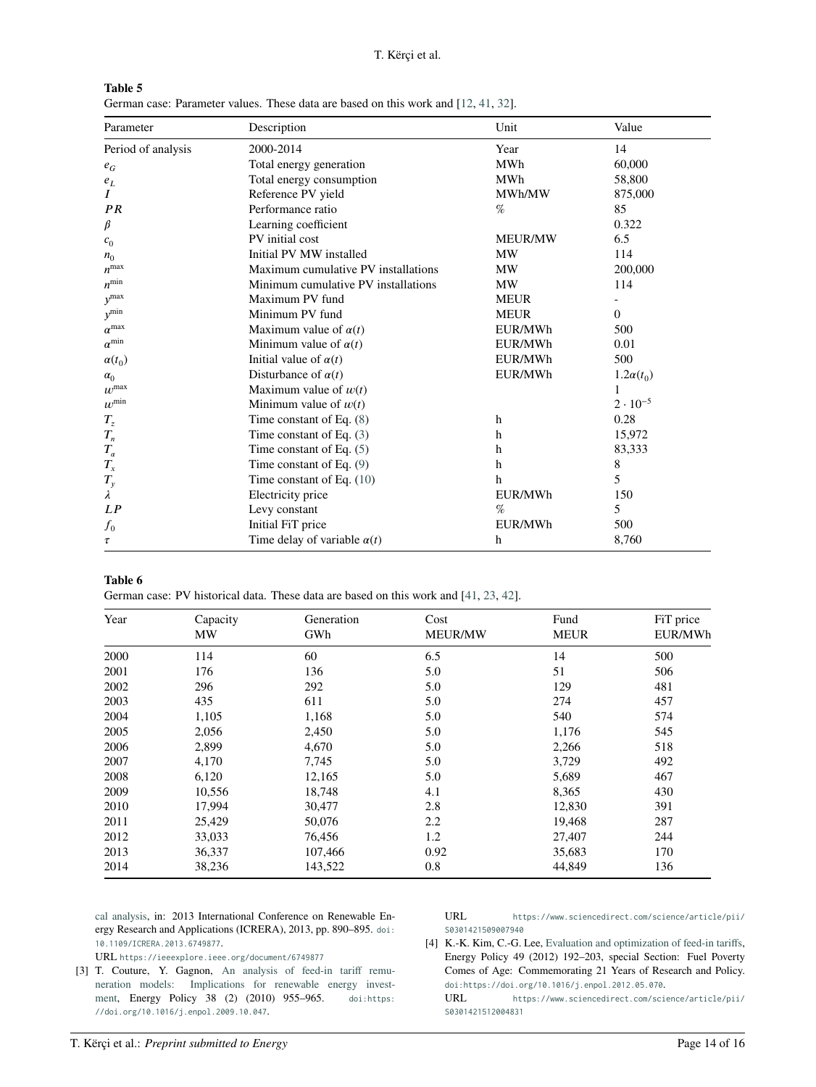[T. Kërçi et al.](https://ieeexplore.ieee.org/document/6749877)

<span id="page-13-3"></span>

| Table 5 |                                                                                    |
|---------|------------------------------------------------------------------------------------|
|         | German case: Parameter values. These data are based on this work and [12, 41, 32]. |

| Parameter                     | Description                         | Unit           | Value             |
|-------------------------------|-------------------------------------|----------------|-------------------|
| Period of analysis            | 2000-2014                           | Year           | 14                |
| $e_G$                         | Total energy generation             | <b>MWh</b>     | 60,000            |
| $e_L$                         | Total energy consumption            | <b>MWh</b>     | 58,800            |
| Ι                             | Reference PV yield                  | MWh/MW         | 875,000           |
| PR                            | Performance ratio                   | %              | 85                |
| β                             | Learning coefficient                |                | 0.322             |
| c <sub>0</sub>                | PV initial cost                     | <b>MEUR/MW</b> | 6.5               |
| $n_0$                         | Initial PV MW installed             | MW             | 114               |
| $n^{\max}$                    | Maximum cumulative PV installations | <b>MW</b>      | 200,000           |
| $n^{\rm min}$                 | Minimum cumulative PV installations | <b>MW</b>      | 114               |
| $y$ <sup>max</sup>            | Maximum PV fund                     | <b>MEUR</b>    |                   |
| $y^{\min}$                    | Minimum PV fund                     | <b>MEUR</b>    | $\Omega$          |
| $\alpha^{\max}$               | Maximum value of $\alpha(t)$        | EUR/MWh        | 500               |
| $\alpha^{\rm min}$            | Minimum value of $\alpha(t)$        | EUR/MWh        | 0.01              |
| $\alpha(t_0)$                 | Initial value of $\alpha(t)$        | EUR/MWh        | 500               |
| $\alpha_0$                    | Disturbance of $\alpha(t)$          | EUR/MWh        | $1.2\alpha(t_0)$  |
| $w^{\max}$                    | Maximum value of $w(t)$             |                |                   |
| $\boldsymbol{w}^{\text{min}}$ | Minimum value of $w(t)$             |                | $2 \cdot 10^{-5}$ |
| $T_z$                         | Time constant of Eq. $(8)$          | h              | 0.28              |
| $T_n$                         | Time constant of Eq. $(3)$          | h              | 15,972            |
| $T_{\alpha}$                  | Time constant of Eq. $(5)$          | h              | 83,333            |
| $T_{x}$                       | Time constant of Eq. (9)            | h              | 8                 |
| $T_{\rm y}$                   | Time constant of Eq. $(10)$         | h              | 5                 |
| λ                             | Electricity price                   | EUR/MWh        | 150               |
| LP                            | Levy constant                       | %              | 5                 |
| $f_{0}$                       | Initial FiT price                   | EUR/MWh        | 500               |
| τ                             | Time delay of variable $\alpha(t)$  | h              | 8,760             |

# **Table 6**

<span id="page-13-2"></span>German case: PV historical data. These data are based on this work and [\[41,](#page-15-11) [23,](#page-14-18) [42\]](#page-15-12).

| Year | Capacity | Generation | Cost           | Fund        | FiT price |
|------|----------|------------|----------------|-------------|-----------|
|      | MW       | GWh        | <b>MEUR/MW</b> | <b>MEUR</b> | EUR/MWh   |
| 2000 | 114      | 60         | 6.5            | 14          | 500       |
| 2001 | 176      | 136        | 5.0            | 51          | 506       |
| 2002 | 296      | 292        | 5.0            | 129         | 481       |
| 2003 | 435      | 611        | 5.0            | 274         | 457       |
| 2004 | 1,105    | 1,168      | 5.0            | 540         | 574       |
| 2005 | 2,056    | 2,450      | 5.0            | 1,176       | 545       |
| 2006 | 2,899    | 4,670      | 5.0            | 2,266       | 518       |
| 2007 | 4,170    | 7,745      | 5.0            | 3,729       | 492       |
| 2008 | 6,120    | 12,165     | 5.0            | 5,689       | 467       |
| 2009 | 10,556   | 18,748     | 4.1            | 8,365       | 430       |
| 2010 | 17,994   | 30,477     | 2.8            | 12,830      | 391       |
| 2011 | 25,429   | 50,076     | 2.2            | 19,468      | 287       |
| 2012 | 33,033   | 76,456     | 1.2            | 27,407      | 244       |
| 2013 | 36,337   | 107,466    | 0.92           | 35,683      | 170       |
| 2014 | 38,236   | 143,522    | 0.8            | 44,849      | 136       |

[cal analysis,](https://ieeexplore.ieee.org/document/6749877) in: 2013 International Conference on Renewable Energy Research and Applications (ICRERA), 2013, pp. 890–895. [doi:](https://doi.org/10.1109/ICRERA.2013.6749877) [10.1109/ICRERA.2013.6749877](https://doi.org/10.1109/ICRERA.2013.6749877).

URL <https://ieeexplore.ieee.org/document/6749877>

<span id="page-13-0"></span>[3] T. Couture, Y. Gagnon, [An analysis of feed-in tariff remu](https://www.sciencedirect.com/science/article/pii/S0301421509007940)[neration models: Implications for renewable energy invest](https://www.sciencedirect.com/science/article/pii/S0301421509007940)[ment,](https://www.sciencedirect.com/science/article/pii/S0301421509007940) Energy Policy 38 (2) (2010) 955–965. [doi:https:](https://doi.org/https://doi.org/10.1016/j.enpol.2009.10.047) [//doi.org/10.1016/j.enpol.2009.10.047](https://doi.org/https://doi.org/10.1016/j.enpol.2009.10.047).

URL [https://www.sciencedirect.com/science/article/pii/](https://www.sciencedirect.com/science/article/pii/S0301421509007940) [S0301421509007940](https://www.sciencedirect.com/science/article/pii/S0301421509007940)

<span id="page-13-1"></span>[4] K.-K. Kim, C.-G. Lee, [Evaluation and optimization of feed-in tariffs,](https://www.sciencedirect.com/science/article/pii/S0301421512004831) Energy Policy 49 (2012) 192–203, special Section: Fuel Poverty Comes of Age: Commemorating 21 Years of Research and Policy. [doi:https://doi.org/10.1016/j.enpol.2012.05.070](https://doi.org/https://doi.org/10.1016/j.enpol.2012.05.070).

URL [https://www.sciencedirect.com/science/article/pii/](https://www.sciencedirect.com/science/article/pii/S0301421512004831) [S0301421512004831](https://www.sciencedirect.com/science/article/pii/S0301421512004831)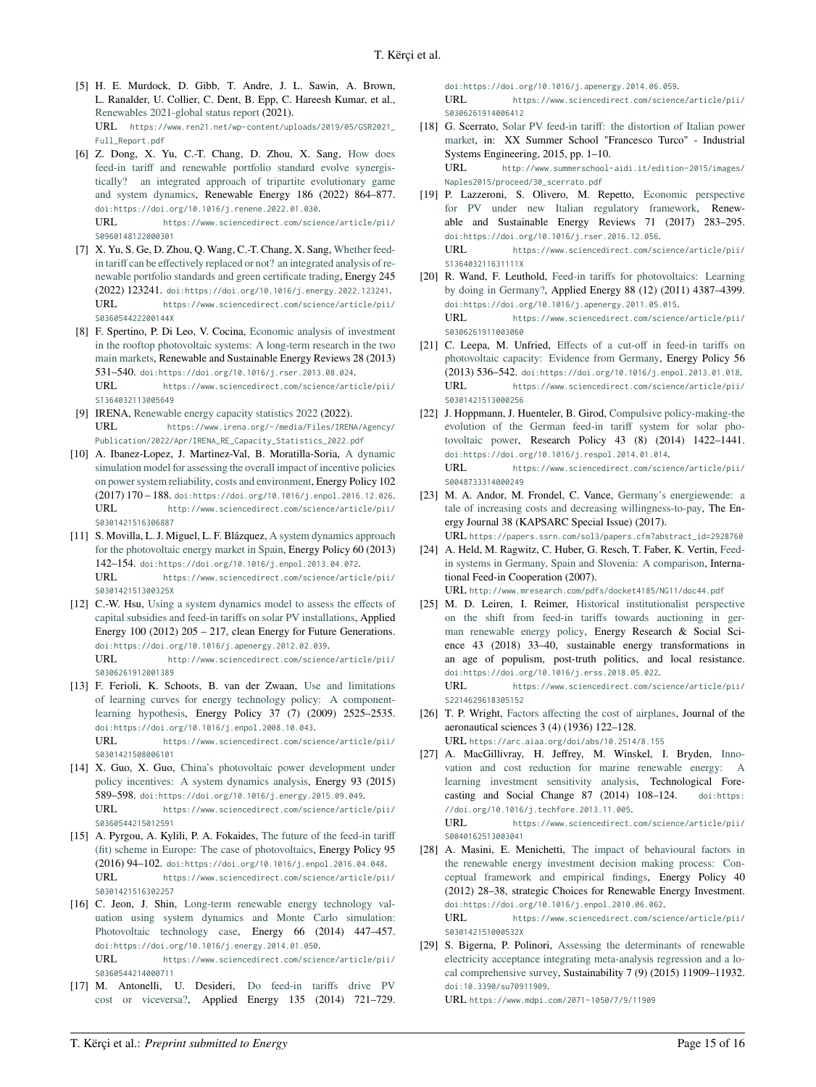- <span id="page-14-0"></span>[5] H. E. Murdock, D. Gibb, T. Andre, J. L. Sawin, A. Brown, L. Ranalder, U. Collier, C. Dent, B. Epp, C. Hareesh Kumar, et al., [Renewables 2021-global status report](https://www.ren21.net/wp-content/uploads/2019/05/GSR2021_Full_Report.pdf) (2021). URL [https://www.ren21.net/wp-content/uploads/2019/05/GSR2021\\_](https://www.ren21.net/wp-content/uploads/2019/05/GSR2021_Full_Report.pdf) [Full\\_Report.pdf](https://www.ren21.net/wp-content/uploads/2019/05/GSR2021_Full_Report.pdf)
- <span id="page-14-1"></span>[6] Z. Dong, X. Yu, C.-T. Chang, D. Zhou, X. Sang, [How does](https://www.sciencedirect.com/science/article/pii/S0960148122000301) [feed-in tariff and renewable portfolio standard evolve synergis](https://www.sciencedirect.com/science/article/pii/S0960148122000301)[tically? an integrated approach of tripartite evolutionary game](https://www.sciencedirect.com/science/article/pii/S0960148122000301) [and system dynamics,](https://www.sciencedirect.com/science/article/pii/S0960148122000301) Renewable Energy 186 (2022) 864–877. [doi:https://doi.org/10.1016/j.renene.2022.01.030](https://doi.org/https://doi.org/10.1016/j.renene.2022.01.030).

URL [https://www.sciencedirect.com/science/article/pii/](https://www.sciencedirect.com/science/article/pii/S0960148122000301) [S0960148122000301](https://www.sciencedirect.com/science/article/pii/S0960148122000301)

- <span id="page-14-2"></span>[7] X. Yu, S. Ge, D. Zhou, Q. Wang, C.-T. Chang, X. Sang, [Whether feed](https://www.sciencedirect.com/science/article/pii/S036054422200144X)[in tariff can be effectively replaced or not? an integrated analysis of re](https://www.sciencedirect.com/science/article/pii/S036054422200144X)[newable portfolio standards and green certificate trading,](https://www.sciencedirect.com/science/article/pii/S036054422200144X) Energy 245 (2022) 123241. [doi:https://doi.org/10.1016/j.energy.2022.123241](https://doi.org/https://doi.org/10.1016/j.energy.2022.123241). URL [https://www.sciencedirect.com/science/article/pii/](https://www.sciencedirect.com/science/article/pii/S036054422200144X) [S036054422200144X](https://www.sciencedirect.com/science/article/pii/S036054422200144X)
- <span id="page-14-3"></span>[8] F. Spertino, P. Di Leo, V. Cocina, [Economic analysis of investment](https://www.sciencedirect.com/science/article/pii/S1364032113005649) [in the rooftop photovoltaic systems: A long-term research in the two](https://www.sciencedirect.com/science/article/pii/S1364032113005649) [main markets,](https://www.sciencedirect.com/science/article/pii/S1364032113005649) Renewable and Sustainable Energy Reviews 28 (2013) 531–540. [doi:https://doi.org/10.1016/j.rser.2013.08.024](https://doi.org/https://doi.org/10.1016/j.rser.2013.08.024). URL [https://www.sciencedirect.com/science/article/pii/](https://www.sciencedirect.com/science/article/pii/S1364032113005649) [S1364032113005649](https://www.sciencedirect.com/science/article/pii/S1364032113005649)
- <span id="page-14-4"></span>[9] IRENA, [Renewable energy capacity statistics 2022](https://www.irena.org/-/media/Files/IRENA/Agency/Publication/2022/Apr/IRENA_RE_Capacity_Statistics_2022.pdf) (2022). URL [https://www.irena.org/-/media/Files/IRENA/Agency/](https://www.irena.org/-/media/Files/IRENA/Agency/Publication/2022/Apr/IRENA_RE_Capacity_Statistics_2022.pdf) [Publication/2022/Apr/IRENA\\_RE\\_Capacity\\_Statistics\\_2022.pdf](https://www.irena.org/-/media/Files/IRENA/Agency/Publication/2022/Apr/IRENA_RE_Capacity_Statistics_2022.pdf)
- <span id="page-14-5"></span>[10] A. Ibanez-Lopez, J. Martinez-Val, B. Moratilla-Soria, [A dynamic](http://www.sciencedirect.com/science/article/pii/S0301421516306887) [simulation model for assessing the overall impact of incentive policies](http://www.sciencedirect.com/science/article/pii/S0301421516306887) [on power system reliability, costs and environment,](http://www.sciencedirect.com/science/article/pii/S0301421516306887) Energy Policy 102 (2017) 170 – 188. [doi:https://doi.org/10.1016/j.enpol.2016.12.026](https://doi.org/https://doi.org/10.1016/j.enpol.2016.12.026). URL [http://www.sciencedirect.com/science/article/pii/](http://www.sciencedirect.com/science/article/pii/S0301421516306887) [S0301421516306887](http://www.sciencedirect.com/science/article/pii/S0301421516306887)
- <span id="page-14-6"></span>[11] S. Movilla, L. J. Miguel, L. F. Blázquez, [A system dynamics approach](https://www.sciencedirect.com/science/article/pii/S030142151300325X) [for the photovoltaic energy market in Spain,](https://www.sciencedirect.com/science/article/pii/S030142151300325X) Energy Policy 60 (2013) 142–154. [doi:https://doi.org/10.1016/j.enpol.2013.04.072](https://doi.org/https://doi.org/10.1016/j.enpol.2013.04.072). URL [https://www.sciencedirect.com/science/article/pii/](https://www.sciencedirect.com/science/article/pii/S030142151300325X) [S030142151300325X](https://www.sciencedirect.com/science/article/pii/S030142151300325X)
- <span id="page-14-7"></span>[12] C.-W. Hsu, [Using a system dynamics model to assess the effects of](http://www.sciencedirect.com/science/article/pii/S0306261912001389) [capital subsidies and feed-in tariffs on solar PV installations,](http://www.sciencedirect.com/science/article/pii/S0306261912001389) Applied Energy 100 (2012) 205 – 217, clean Energy for Future Generations. [doi:https://doi.org/10.1016/j.apenergy.2012.02.039](https://doi.org/https://doi.org/10.1016/j.apenergy.2012.02.039). URL [http://www.sciencedirect.com/science/article/pii/](http://www.sciencedirect.com/science/article/pii/S0306261912001389) [S0306261912001389](http://www.sciencedirect.com/science/article/pii/S0306261912001389)
- <span id="page-14-8"></span>[13] F. Ferioli, K. Schoots, B. van der Zwaan, [Use and limitations](https://www.sciencedirect.com/science/article/pii/S0301421508006101) [of learning curves for energy technology policy: A component](https://www.sciencedirect.com/science/article/pii/S0301421508006101)[learning hypothesis,](https://www.sciencedirect.com/science/article/pii/S0301421508006101) Energy Policy 37 (7) (2009) 2525–2535. [doi:https://doi.org/10.1016/j.enpol.2008.10.043](https://doi.org/https://doi.org/10.1016/j.enpol.2008.10.043). URL [https://www.sciencedirect.com/science/article/pii/](https://www.sciencedirect.com/science/article/pii/S0301421508006101) [S0301421508006101](https://www.sciencedirect.com/science/article/pii/S0301421508006101)
- <span id="page-14-9"></span>[14] X. Guo, X. Guo, [China's photovoltaic power development under](https://www.sciencedirect.com/science/article/pii/S0360544215012591) [policy incentives: A system dynamics analysis,](https://www.sciencedirect.com/science/article/pii/S0360544215012591) Energy 93 (2015) 589–598. [doi:https://doi.org/10.1016/j.energy.2015.09.049](https://doi.org/https://doi.org/10.1016/j.energy.2015.09.049). URL [https://www.sciencedirect.com/science/article/pii/](https://www.sciencedirect.com/science/article/pii/S0360544215012591) [S0360544215012591](https://www.sciencedirect.com/science/article/pii/S0360544215012591)
- <span id="page-14-10"></span>[15] A. Pyrgou, A. Kylili, P. A. Fokaides, [The future of the feed-in tariff](https://www.sciencedirect.com/science/article/pii/S0301421516302257) [\(fit\) scheme in Europe: The case of photovoltaics,](https://www.sciencedirect.com/science/article/pii/S0301421516302257) Energy Policy 95 (2016) 94–102. [doi:https://doi.org/10.1016/j.enpol.2016.04.048](https://doi.org/https://doi.org/10.1016/j.enpol.2016.04.048). URL [https://www.sciencedirect.com/science/article/pii/](https://www.sciencedirect.com/science/article/pii/S0301421516302257) [S0301421516302257](https://www.sciencedirect.com/science/article/pii/S0301421516302257)
- <span id="page-14-11"></span>[16] C. Jeon, J. Shin, [Long-term renewable energy technology val](https://www.sciencedirect.com/science/article/pii/S0360544214000711)[uation using system dynamics and Monte Carlo simulation:](https://www.sciencedirect.com/science/article/pii/S0360544214000711) [Photovoltaic technology case,](https://www.sciencedirect.com/science/article/pii/S0360544214000711) Energy 66 (2014) 447–457. [doi:https://doi.org/10.1016/j.energy.2014.01.050](https://doi.org/https://doi.org/10.1016/j.energy.2014.01.050). URL [https://www.sciencedirect.com/science/article/pii/](https://www.sciencedirect.com/science/article/pii/S0360544214000711) [S0360544214000711](https://www.sciencedirect.com/science/article/pii/S0360544214000711)
- <span id="page-14-12"></span>[17] M. Antonelli, U. Desideri, [Do feed-in tariffs drive PV](https://www.sciencedirect.com/science/article/pii/S0306261914006412) [cost or viceversa?,](https://www.sciencedirect.com/science/article/pii/S0306261914006412) Applied Energy 135 (2014) 721–729.

[doi:https://doi.org/10.1016/j.apenergy.2014.06.059](https://doi.org/https://doi.org/10.1016/j.apenergy.2014.06.059). URL [https://www.sciencedirect.com/science/article/pii/](https://www.sciencedirect.com/science/article/pii/S0306261914006412)

[S0306261914006412](https://www.sciencedirect.com/science/article/pii/S0306261914006412)

<span id="page-14-13"></span>[18] G. Scerrato, [Solar PV feed-in tariff: the distortion of Italian power](http://www.summerschool-aidi.it/edition-2015/images/Naples2015/proceed/30_scerrato.pdf) [market,](http://www.summerschool-aidi.it/edition-2015/images/Naples2015/proceed/30_scerrato.pdf) in: XX Summer School "Francesco Turco" - Industrial Systems Engineering, 2015, pp. 1–10.

URL [http://www.summerschool-aidi.it/edition-2015/images/](http://www.summerschool-aidi.it/edition-2015/images/Naples2015/proceed/30_scerrato.pdf) [Naples2015/proceed/30\\_scerrato.pdf](http://www.summerschool-aidi.it/edition-2015/images/Naples2015/proceed/30_scerrato.pdf)

<span id="page-14-14"></span>[19] P. Lazzeroni, S. Olivero, M. Repetto, [Economic perspective](https://www.sciencedirect.com/science/article/pii/S136403211631111X) [for PV under new Italian regulatory framework,](https://www.sciencedirect.com/science/article/pii/S136403211631111X) Renewable and Sustainable Energy Reviews 71 (2017) 283–295. [doi:https://doi.org/10.1016/j.rser.2016.12.056](https://doi.org/https://doi.org/10.1016/j.rser.2016.12.056). URL [https://www.sciencedirect.com/science/article/pii/](https://www.sciencedirect.com/science/article/pii/S136403211631111X)

[S136403211631111X](https://www.sciencedirect.com/science/article/pii/S136403211631111X)

- <span id="page-14-15"></span>[20] R. Wand, F. Leuthold, [Feed-in tariffs for photovoltaics: Learning](https://www.sciencedirect.com/science/article/pii/S0306261911003060) [by doing in Germany?,](https://www.sciencedirect.com/science/article/pii/S0306261911003060) Applied Energy 88 (12) (2011) 4387–4399. [doi:https://doi.org/10.1016/j.apenergy.2011.05.015](https://doi.org/https://doi.org/10.1016/j.apenergy.2011.05.015). URL [https://www.sciencedirect.com/science/article/pii/](https://www.sciencedirect.com/science/article/pii/S0306261911003060) [S0306261911003060](https://www.sciencedirect.com/science/article/pii/S0306261911003060)
- <span id="page-14-16"></span>[21] C. Leepa, M. Unfried, [Effects of a cut-off in feed-in tariffs on](https://www.sciencedirect.com/science/article/pii/S0301421513000256) [photovoltaic capacity: Evidence from Germany,](https://www.sciencedirect.com/science/article/pii/S0301421513000256) Energy Policy 56  $(2013)$  536–542. [doi:https://doi.org/10.1016/j.enpol.2013.01.018](https://doi.org/https://doi.org/10.1016/j.enpol.2013.01.018).<br> **IIRI** https://www.sciencedirect.com/science/article/pii/ [https://www.sciencedirect.com/science/article/pii/](https://www.sciencedirect.com/science/article/pii/S0301421513000256) [S0301421513000256](https://www.sciencedirect.com/science/article/pii/S0301421513000256)
- <span id="page-14-17"></span>[22] J. Hoppmann, J. Huenteler, B. Girod, [Compulsive policy-making-the](https://www.sciencedirect.com/science/article/pii/S0048733314000249) [evolution of the German feed-in tariff system for solar pho](https://www.sciencedirect.com/science/article/pii/S0048733314000249)[tovoltaic power,](https://www.sciencedirect.com/science/article/pii/S0048733314000249) Research Policy 43 (8) (2014) 1422–1441. [doi:https://doi.org/10.1016/j.respol.2014.01.014](https://doi.org/https://doi.org/10.1016/j.respol.2014.01.014). URL [https://www.sciencedirect.com/science/article/pii/](https://www.sciencedirect.com/science/article/pii/S0048733314000249) [S0048733314000249](https://www.sciencedirect.com/science/article/pii/S0048733314000249)
- <span id="page-14-18"></span>[23] M. A. Andor, M. Frondel, C. Vance, [Germany's energiewende: a](https://papers.ssrn.com/sol3/papers.cfm?abstract_id=2928760) [tale of increasing costs and decreasing willingness-to-pay,](https://papers.ssrn.com/sol3/papers.cfm?abstract_id=2928760) The Energy Journal 38 (KAPSARC Special Issue) (2017). URL [https://papers.ssrn.com/sol3/papers.cfm?abstract\\_id=2928760](https://papers.ssrn.com/sol3/papers.cfm?abstract_id=2928760)
- <span id="page-14-19"></span>[24] A. Held, M. Ragwitz, C. Huber, G. Resch, T. Faber, K. Vertin, [Feed](http://www.mresearch.com/pdfs/docket4185/NG11/doc44.pdf)[in systems in Germany, Spain and Slovenia: A comparison,](http://www.mresearch.com/pdfs/docket4185/NG11/doc44.pdf) International Feed-in Cooperation (2007). URL <http://www.mresearch.com/pdfs/docket4185/NG11/doc44.pdf>
- <span id="page-14-20"></span>[25] M. D. Leiren, I. Reimer, [Historical institutionalist perspective](https://www.sciencedirect.com/science/article/pii/S2214629618305152) [on the shift from feed-in tariffs towards auctioning in ger](https://www.sciencedirect.com/science/article/pii/S2214629618305152)[man renewable energy policy,](https://www.sciencedirect.com/science/article/pii/S2214629618305152) Energy Research & Social Science 43 (2018) 33–40, sustainable energy transformations in an age of populism, post-truth politics, and local resistance. [doi:https://doi.org/10.1016/j.erss.2018.05.022](https://doi.org/https://doi.org/10.1016/j.erss.2018.05.022). URL [https://www.sciencedirect.com/science/article/pii/](https://www.sciencedirect.com/science/article/pii/S2214629618305152) [S2214629618305152](https://www.sciencedirect.com/science/article/pii/S2214629618305152)
- <span id="page-14-21"></span>[26] T. P. Wright, [Factors affecting the cost of airplanes,](https://arc.aiaa.org/doi/abs/10.2514/8.155) Journal of the aeronautical sciences 3 (4) (1936) 122–128.
	- URL <https://arc.aiaa.org/doi/abs/10.2514/8.155>
- <span id="page-14-22"></span>[27] A. MacGillivray, H. Jeffrey, M. Winskel, I. Bryden, [Inno](https://www.sciencedirect.com/science/article/pii/S0040162513003041)[vation and cost reduction for marine renewable energy: A](https://www.sciencedirect.com/science/article/pii/S0040162513003041) [learning investment sensitivity analysis,](https://www.sciencedirect.com/science/article/pii/S0040162513003041) Technological Forecasting and Social Change 87 (2014) 108-124. [doi:https:](https://doi.org/https://doi.org/10.1016/j.techfore.2013.11.005) [//doi.org/10.1016/j.techfore.2013.11.005](https://doi.org/https://doi.org/10.1016/j.techfore.2013.11.005). URL [https://www.sciencedirect.com/science/article/pii/](https://www.sciencedirect.com/science/article/pii/S0040162513003041)

[S0040162513003041](https://www.sciencedirect.com/science/article/pii/S0040162513003041)

<span id="page-14-23"></span>[28] A. Masini, E. Menichetti, [The impact of behavioural factors in](https://www.sciencedirect.com/science/article/pii/S030142151000532X) [the renewable energy investment decision making process: Con](https://www.sciencedirect.com/science/article/pii/S030142151000532X)[ceptual framework and empirical findings,](https://www.sciencedirect.com/science/article/pii/S030142151000532X) Energy Policy 40 (2012) 28–38, strategic Choices for Renewable Energy Investment. [doi:https://doi.org/10.1016/j.enpol.2010.06.062](https://doi.org/https://doi.org/10.1016/j.enpol.2010.06.062).

URL [https://www.sciencedirect.com/science/article/pii/](https://www.sciencedirect.com/science/article/pii/S030142151000532X) [S030142151000532X](https://www.sciencedirect.com/science/article/pii/S030142151000532X)

<span id="page-14-24"></span>[29] S. Bigerna, P. Polinori, [Assessing the determinants of renewable](https://www.mdpi.com/2071-1050/7/9/11909) [electricity acceptance integrating meta-analysis regression and a lo](https://www.mdpi.com/2071-1050/7/9/11909)[cal comprehensive survey,](https://www.mdpi.com/2071-1050/7/9/11909) Sustainability 7 (9) (2015) 11909–11932. [doi:10.3390/su70911909](https://doi.org/10.3390/su70911909).

URL <https://www.mdpi.com/2071-1050/7/9/11909>